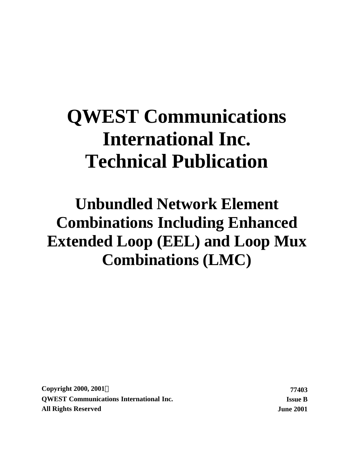# **QWEST Communications International Inc. Technical Publication**

# **Unbundled Network Element Combinations Including Enhanced Extended Loop (EEL) and Loop Mux Combinations (LMC)**

**Copyright 2000, 2001Ó 77403 QWEST Communications International Inc. Issue B All Rights Reserved June 2001**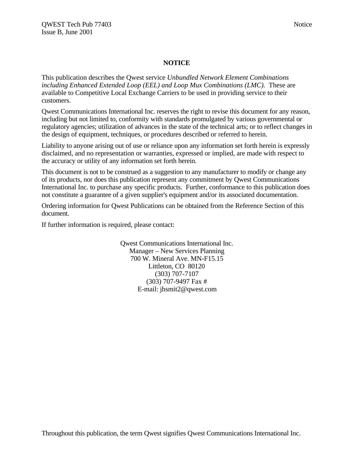#### **NOTICE**

This publication describes the Qwest service *Unbundled Network Element Combinations including Enhanced Extended Loop (EEL) and Loop Mux Combinations (LMC).* These are available to Competitive Local Exchange Carriers to be used in providing service to their customers.

Qwest Communications International Inc. reserves the right to revise this document for any reason, including but not limited to, conformity with standards promulgated by various governmental or regulatory agencies; utilization of advances in the state of the technical arts; or to reflect changes in the design of equipment, techniques, or procedures described or referred to herein.

Liability to anyone arising out of use or reliance upon any information set forth herein is expressly disclaimed, and no representation or warranties, expressed or implied, are made with respect to the accuracy or utility of any information set forth herein.

This document is not to be construed as a suggestion to any manufacturer to modify or change any of its products, nor does this publication represent any commitment by Qwest Communications International Inc. to purchase any specific products. Further, conformance to this publication does not constitute a guarantee of a given supplier's equipment and/or its associated documentation.

Ordering information for Qwest Publications can be obtained from the Reference Section of this document.

If further information is required, please contact:

Qwest Communications International Inc. Manager – New Services Planning 700 W. Mineral Ave. MN-F15.15 Littleton, CO 80120 (303) 707-7107 (303) 707-9497 Fax # E-mail: jhsmit2@qwest.com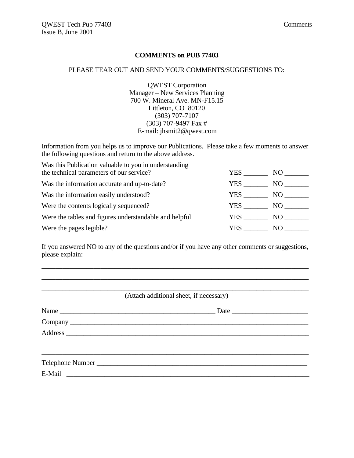#### **COMMENTS on PUB 77403**

#### PLEASE TEAR OUT AND SEND YOUR COMMENTS/SUGGESTIONS TO:

QWEST Corporation Manager – New Services Planning 700 W. Mineral Ave. MN-F15.15 Littleton, CO 80120 (303) 707-7107 (303) 707-9497 Fax # E-mail: jhsmit2@qwest.com

Information from you helps us to improve our Publications. Please take a few moments to answer the following questions and return to the above address.

| Was this Publication valuable to you in understanding  |      |      |
|--------------------------------------------------------|------|------|
| the technical parameters of our service?               | YES  | NO.  |
| Was the information accurate and up-to-date?           | YES. | NO.  |
| Was the information easily understood?                 | YES. | NO.  |
| Were the contents logically sequenced?                 | YES  | NO - |
| Were the tables and figures understandable and helpful | YES. | NO.  |
| Were the pages legible?                                | YES  | NO.  |

If you answered NO to any of the questions and/or if you have any other comments or suggestions, please explain:

\_\_\_\_\_\_\_\_\_\_\_\_\_\_\_\_\_\_\_\_\_\_\_\_\_\_\_\_\_\_\_\_\_\_\_\_\_\_\_\_\_\_\_\_\_\_\_\_\_\_\_\_\_\_\_\_\_\_\_\_\_\_\_\_\_\_\_\_\_\_\_\_\_\_\_\_\_

| (Attach additional sheet, if necessary) |
|-----------------------------------------|
| Date                                    |
|                                         |
|                                         |
|                                         |
|                                         |
|                                         |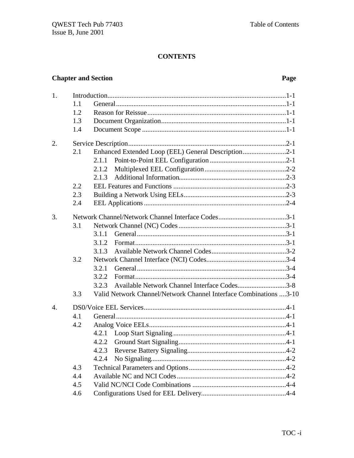# **CONTENTS**

# **Chapter and Section**

# Page

| 1. |     |                                                                   |
|----|-----|-------------------------------------------------------------------|
|    | 1.1 |                                                                   |
|    | 1.2 |                                                                   |
|    | 1.3 |                                                                   |
|    | 1.4 |                                                                   |
| 2. |     |                                                                   |
|    | 2.1 | Enhanced Extended Loop (EEL) General Description2-1               |
|    |     | 2.1.1                                                             |
|    |     | 2.1.2                                                             |
|    |     | 2.1.3                                                             |
|    | 2.2 |                                                                   |
|    | 2.3 |                                                                   |
|    | 2.4 |                                                                   |
| 3. |     |                                                                   |
|    | 3.1 |                                                                   |
|    |     | 3.1.1                                                             |
|    |     | 3.1.2                                                             |
|    |     | 3.1.3                                                             |
|    | 3.2 |                                                                   |
|    |     | 3.2.1                                                             |
|    |     | 3.2.2                                                             |
|    |     | Available Network Channel Interface Codes3-8<br>3.2.3             |
|    | 3.3 | Valid Network Channel/Network Channel Interface Combinations 3-10 |
| 4. |     |                                                                   |
|    | 4.1 |                                                                   |
|    | 4.2 |                                                                   |
|    |     | 4.2.1                                                             |
|    |     | 4.2.2                                                             |
|    |     |                                                                   |
|    |     | 4.2.4                                                             |
|    | 4.3 |                                                                   |
|    | 4.4 |                                                                   |
|    | 4.5 |                                                                   |
|    | 4.6 |                                                                   |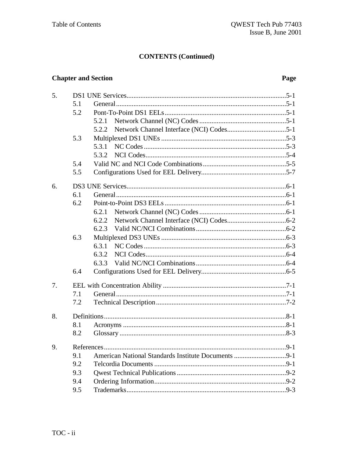# **CONTENTS (Continued)**

# **Chapter and Section**

# Page

| 5. |            |       |
|----|------------|-------|
|    | 5.1        |       |
|    | 5.2        |       |
|    |            | 5.2.1 |
|    |            | 5.2.2 |
|    | 5.3        |       |
|    |            |       |
|    |            | 5.3.2 |
|    | 5.4        |       |
|    | 5.5        |       |
| 6. |            |       |
|    | 6.1        |       |
|    | 6.2        |       |
|    |            |       |
|    |            | 6.2.2 |
|    |            | 6.2.3 |
|    | 6.3        |       |
|    |            | 6.3.1 |
|    |            |       |
|    |            | 6.3.3 |
|    | 6.4        |       |
| 7. |            |       |
|    | 7.1        |       |
|    | 7.2        |       |
| 8. |            |       |
|    | 8.1        |       |
|    | 8.2        |       |
| 9  | References | 9-1   |
|    | 9.1        |       |
|    | 9.2        |       |
|    | 9.3        |       |
|    | 9.4        |       |
|    | 9.5        |       |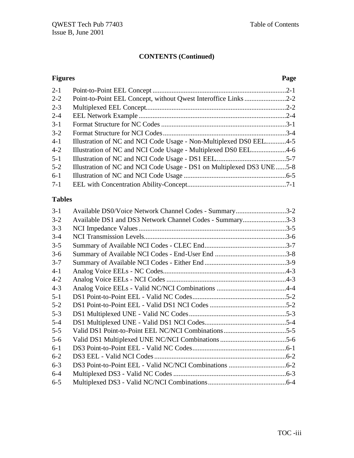# **CONTENTS (Continued)**

#### **Figures Page**

| Point-to-Point EEL Concept, without Qwest Interoffice Links 2-2<br>Illustration of NC and NCI Code Usage - Non-Multiplexed DS0 EEL4-5<br>Illustration of NC and NCI Code Usage - Multiplexed DS0 EEL4-6<br>Illustration of NC and NCI Code Usage - DS1 on Multiplexed DS3 UNE5-8 |
|----------------------------------------------------------------------------------------------------------------------------------------------------------------------------------------------------------------------------------------------------------------------------------|

# **Tables**

| $3-1$   | Available DS0/Voice Network Channel Codes - Summary3-2   |  |
|---------|----------------------------------------------------------|--|
| $3 - 2$ | Available DS1 and DS3 Network Channel Codes - Summary3-3 |  |
| $3 - 3$ |                                                          |  |
| $3-4$   |                                                          |  |
| $3 - 5$ |                                                          |  |
| $3-6$   |                                                          |  |
| $3 - 7$ |                                                          |  |
| $4 - 1$ |                                                          |  |
| $4 - 2$ |                                                          |  |
| $4 - 3$ |                                                          |  |
| $5 - 1$ |                                                          |  |
| $5 - 2$ |                                                          |  |
| $5 - 3$ |                                                          |  |
| $5 - 4$ |                                                          |  |
| $5 - 5$ |                                                          |  |
| $5 - 6$ |                                                          |  |
| $6-1$   |                                                          |  |
| $6 - 2$ |                                                          |  |
| $6 - 3$ |                                                          |  |
| $6 - 4$ |                                                          |  |
| $6 - 5$ |                                                          |  |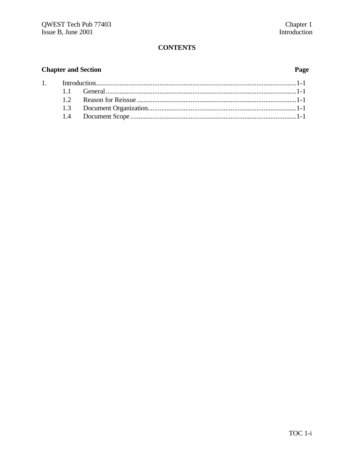# **CONTENTS**

# **Chapter and Section**

1.

# Page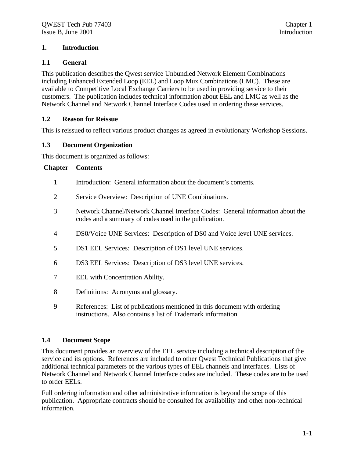#### **1. Introduction**

#### **1.1 General**

This publication describes the Qwest service Unbundled Network Element Combinations including Enhanced Extended Loop (EEL) and Loop Mux Combinations (LMC).These are available to Competitive Local Exchange Carriers to be used in providing service to their customers. The publication includes technical information about EEL and LMC as well as the Network Channel and Network Channel Interface Codes used in ordering these services.

#### **1.2 Reason for Reissue**

This is reissued to reflect various product changes as agreed in evolutionary Workshop Sessions.

#### **1.3 Document Organization**

This document is organized as follows:

#### **Chapter Contents**

- 1 Introduction: General information about the document's contents.
- 2 Service Overview: Description of UNE Combinations.
- 3 Network Channel/Network Channel Interface Codes: General information about the codes and a summary of codes used in the publication.
- 4 DS0/Voice UNE Services: Description of DS0 and Voice level UNE services.
- 5 DS1 EEL Services: Description of DS1 level UNE services.
- 6 DS3 EEL Services: Description of DS3 level UNE services.
- 7 EEL with Concentration Ability.
- 8 Definitions: Acronyms and glossary.
- 9 References: List of publications mentioned in this document with ordering instructions. Also contains a list of Trademark information.

#### **1.4 Document Scope**

This document provides an overview of the EEL service including a technical description of the service and its options. References are included to other Qwest Technical Publications that give additional technical parameters of the various types of EEL channels and interfaces. Lists of Network Channel and Network Channel Interface codes are included. These codes are to be used to order EELs.

Full ordering information and other administrative information is beyond the scope of this publication. Appropriate contracts should be consulted for availability and other non-technical information.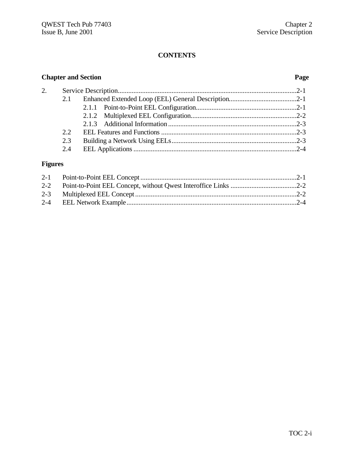# **CONTENTS**

# **Chapter and Section Page**

| 2. |     |  |
|----|-----|--|
|    |     |  |
|    |     |  |
|    |     |  |
|    |     |  |
|    | 2.2 |  |
|    | 2.3 |  |
|    |     |  |
|    |     |  |

# **Figures**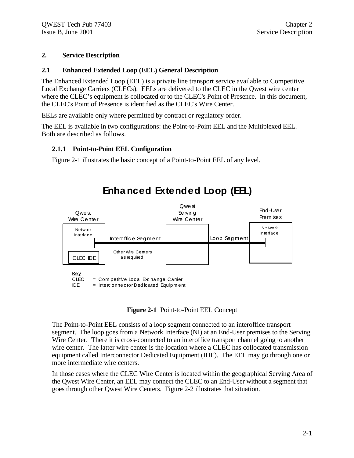#### **2. Service Description**

#### **2.1 Enhanced Extended Loop (EEL) General Description**

The Enhanced Extended Loop (EEL) is a private line transport service available to Competitive Local Exchange Carriers (CLECs). EELs are delivered to the CLEC in the Qwest wire center where the CLEC's equipment is collocated or to the CLEC's Point of Presence. In this document, the CLEC's Point of Presence is identified as the CLEC's Wire Center.

EELs are available only where permitted by contract or regulatory order.

The EEL is available in two configurations: the Point-to-Point EEL and the Multiplexed EEL. Both are described as follows.

#### **2.1.1 Point-to-Point EEL Configuration**

Figure 2-1 illustrates the basic concept of a Point-to-Point EEL of any level.



# **Enha nced Extended Loop (EEL)**

#### **Figure 2-1** Point-to-Point EEL Concept

The Point-to-Point EEL consists of a loop segment connected to an interoffice transport segment. The loop goes from a Network Interface (NI) at an End-User premises to the Serving Wire Center. There it is cross-connected to an interoffice transport channel going to another wire center. The latter wire center is the location where a CLEC has collocated transmission equipment called Interconnector Dedicated Equipment (IDE). The EEL may go through one or more intermediate wire centers.

In those cases where the CLEC Wire Center is located within the geographical Serving Area of the Qwest Wire Center, an EEL may connect the CLEC to an End-User without a segment that goes through other Qwest Wire Centers. Figure 2-2 illustrates that situation.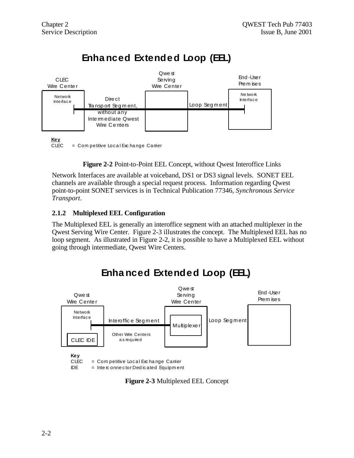

# **Enha nced Extended Loop (EEL)**

CLEC = Com petitive Local Exchange Camier

**Figure 2-2** Point-to-Point EEL Concept, without Qwest Interoffice Links

Network Interfaces are available at voiceband, DS1 or DS3 signal levels. SONET EEL channels are available through a special request process. Information regarding Qwest point-to-point SONET services is in Technical Publication 77346, *Synchronous Service Transport*.

#### **2.1.2 Multiplexed EEL Configuration**

The Multiplexed EEL is generally an interoffice segment with an attached multiplexer in the Qwest Serving Wire Center. Figure 2-3 illustrates the concept. The Multiplexed EEL has no loop segment. As illustrated in Figure 2-2, it is possible to have a Multiplexed EEL without going through intermediate, Qwest Wire Centers.



**Enha nced Extended Loop (EEL)**

**Figure 2-3** Multiplexed EEL Concept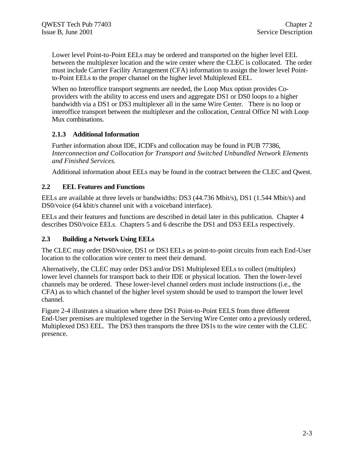Lower level Point-to-Point EELs may be ordered and transported on the higher level EEL between the multiplexer location and the wire center where the CLEC is collocated. The order must include Carrier Facility Arrangement (CFA) information to assign the lower level Pointto-Point EELs to the proper channel on the higher level Multiplexed EEL.

When no Interoffice transport segments are needed, the Loop Mux option provides Coproviders with the ability to access end users and aggregate DS1 or DS0 loops to a higher bandwidth via a DS1 or DS3 multiplexer all in the same Wire Center. There is no loop or interoffice transport between the multiplexer and the collocation, Central Office NI with Loop Mux combinations.

#### **2.1.3 Additional Information**

Further information about IDE, ICDFs and collocation may be found in PUB 77386, *Interconnection and Collocation for Transport and Switched Unbundled Network Elements and Finished Services.*

Additional information about EELs may be found in the contract between the CLEC and Qwest.

#### **2.2 EEL Features and Functions**

EELs are available at three levels or bandwidths: DS3 (44.736 Mbit/s), DS1 (1.544 Mbit/s) and DS0/voice (64 kbit/s channel unit with a voiceband interface).

EELs and their features and functions are described in detail later in this publication. Chapter 4 describes DS0/voice EELs. Chapters 5 and 6 describe the DS1 and DS3 EELs respectively.

#### **2.3 Building a Network Using EELs**

The CLEC may order DS0/voice, DS1 or DS3 EELs as point-to-point circuits from each End-User location to the collocation wire center to meet their demand.

Alternatively, the CLEC may order DS3 and/or DS1 Multiplexed EELs to collect (multiplex) lower level channels for transport back to their IDE or physical location. Then the lower-level channels may be ordered. These lower-level channel orders must include instructions (i.e., the CFA) as to which channel of the higher level system should be used to transport the lower level channel.

Figure 2-4 illustrates a situation where three DS1 Point-to-Point EELS from three different End-User premises are multiplexed together in the Serving Wire Center onto a previously ordered, Multiplexed DS3 EEL. The DS3 then transports the three DS1s to the wire center with the CLEC presence.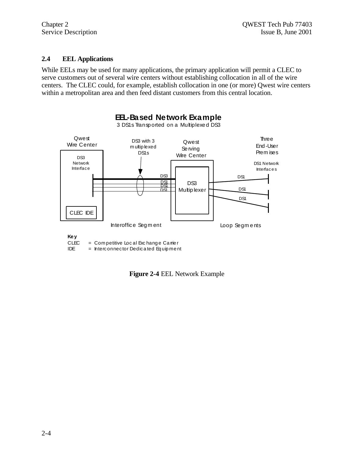#### $2.4$ **EEL Applications**

While EELs may be used for many applications, the primary application will permit a CLEC to serve customers out of several wire centers without establishing collocation in all of the wire centers. The CLEC could, for example, establish collocation in one (or more) Qwest wire centers within a metropolitan area and then feed distant customers from this central location.



**IDE** = Interconnector Dedicated Equipment

Figure 2-4 EEL Network Example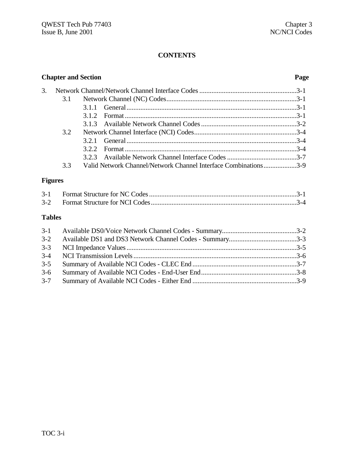# **CONTENTS**

|    | <b>Chapter and Section</b> |     |                                                                 | Page |
|----|----------------------------|-----|-----------------------------------------------------------------|------|
| 3. |                            |     |                                                                 |      |
|    |                            |     |                                                                 |      |
|    |                            |     |                                                                 |      |
|    |                            | 312 |                                                                 |      |
|    |                            |     |                                                                 |      |
|    | 3.2                        |     |                                                                 |      |
|    |                            |     |                                                                 |      |
|    |                            | 322 |                                                                 |      |
|    |                            |     |                                                                 |      |
|    | 3.3                        |     | Valid Network Channel/Network Channel Interface Combinations3-9 |      |
|    |                            |     |                                                                 |      |

# **Figures**

# **Tables**

| $3 - 2$ |  |
|---------|--|
| $3 - 3$ |  |
|         |  |
| $3 - 5$ |  |
| $3-6$   |  |
|         |  |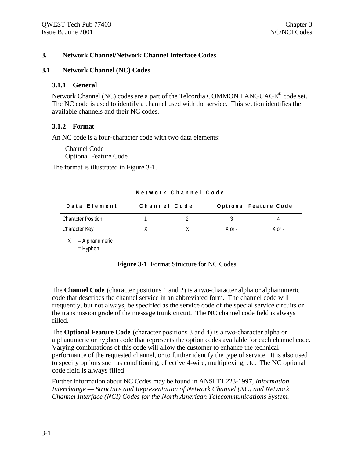#### **3. Network Channel/Network Channel Interface Codes**

#### **3.1 Network Channel (NC) Codes**

#### **3.1.1 General**

Network Channel (NC) codes are a part of the Telcordia COMMON LANGUAGE<sup>®</sup> code set. The NC code is used to identify a channel used with the service. This section identifies the available channels and their NC codes.

#### **3.1.2 Format**

An NC code is a four-character code with two data elements:

Channel Code Optional Feature Code

The format is illustrated in Figure 3-1.

| Data Element              | Channel Code |  |            | Optional Feature Code |
|---------------------------|--------------|--|------------|-----------------------|
| <b>Character Position</b> |              |  |            |                       |
| Character Key             |              |  | $X$ or $-$ | X or -                |

**Network Channel Code**

 $X =$  Alphanumeric

 $-$  = Hyphen

| <b>Figure 3-1</b> Format Structure for NC Codes |  |  |  |
|-------------------------------------------------|--|--|--|
|-------------------------------------------------|--|--|--|

The **Channel Code** (character positions 1 and 2) is a two-character alpha or alphanumeric code that describes the channel service in an abbreviated form. The channel code will frequently, but not always, be specified as the service code of the special service circuits or the transmission grade of the message trunk circuit. The NC channel code field is always filled.

The **Optional Feature Code** (character positions 3 and 4) is a two-character alpha or alphanumeric or hyphen code that represents the option codes available for each channel code. Varying combinations of this code will allow the customer to enhance the technical performance of the requested channel, or to further identify the type of service. It is also used to specify options such as conditioning, effective 4-wire, multiplexing, etc. The NC optional code field is always filled.

Further information about NC Codes may be found in ANSI T1.223-1997, *Information Interchange — Structure and Representation of Network Channel (NC) and Network Channel Interface (NCI) Codes for the North American Telecommunications System.*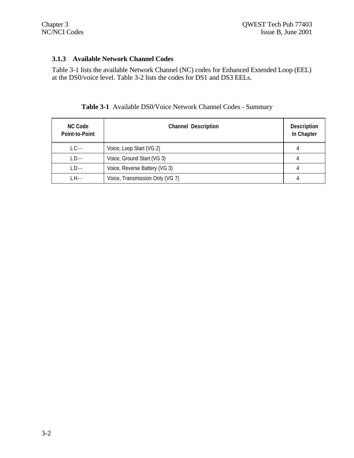#### **3.1.3 Available Network Channel Codes**

Table 3-1 lists the available Network Channel (NC) codes for Enhanced Extended Loop (EEL) at the DS0/voice level. Table 3-2 lists the codes for DS1 and DS3 EELs.

| <b>NC Code</b><br>Point-to-Point | <b>Channel Description</b>      | <b>Description</b><br>In Chapter |
|----------------------------------|---------------------------------|----------------------------------|
| $LC -$                           | Voice, Loop Start (VG 2)        |                                  |
| $LD -$                           | Voice, Ground Start (VG 3)      |                                  |
| $LD -$                           | Voice, Reverse Battery (VG 3)   |                                  |
| _H - -                           | Voice, Transmission Only (VG 7) |                                  |

# **Table 3-1** Available DS0/Voice Network Channel Codes - Summary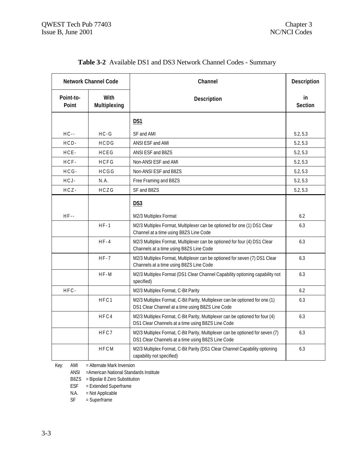| <b>Network Channel Code</b> |                             | Channel                                                                                                                             | Description          |
|-----------------------------|-----------------------------|-------------------------------------------------------------------------------------------------------------------------------------|----------------------|
| Point-to-<br>Point          | <b>With</b><br>Multiplexing | Description                                                                                                                         | in<br><b>Section</b> |
|                             |                             | DS1                                                                                                                                 |                      |
| $HC -$                      | $HC - G$                    | SF and AMI                                                                                                                          | 5.2, 5.3             |
| $HCD-$                      | HCDG                        | ANSI ESF and AMI                                                                                                                    | 5.2, 5.3             |
| HCE-                        | HCEG                        | ANSI ESF and B8ZS                                                                                                                   | 5.2, 5.3             |
| HCF-                        | HCFG                        | Non-ANSI ESF and AMI                                                                                                                | 5.2, 5.3             |
| $HCG -$                     | HCGG                        | Non-ANSI ESF and B8ZS                                                                                                               | 5.2, 5.3             |
| HCJ-                        | N.A.                        | Free Framing and B8ZS                                                                                                               | 5.2, 5.3             |
| $HCZ -$                     | HCZG                        | SF and B8ZS                                                                                                                         | 5.2, 5.3             |
|                             |                             | DS3                                                                                                                                 |                      |
| $HF-$                       |                             | M2/3 Multiplex Format                                                                                                               | 6.2                  |
|                             | $HF-1$                      | M2/3 Multiplex Format, Multiplexer can be optioned for one (1) DS1 Clear<br>Channel at a time using B8ZS Line Code                  | 6.3                  |
|                             | $HF-4$                      | M2/3 Multiplex Format, Multiplexer can be optioned for four (4) DS1 Clear<br>Channels at a time using B8ZS Line Code                | 6.3                  |
|                             | $HF-7$                      | M2/3 Multiplex Format, Multiplexer can be optioned for seven (7) DS1 Clear<br>Channels at a time using B8ZS Line Code               | 6.3                  |
|                             | $HF-M$                      | M2/3 Multiplex Format (DS1 Clear Channel Capability optioning capability not<br>specified)                                          | 6.3                  |
| HFC-                        |                             | M2/3 Multiplex Format, C-Bit Parity                                                                                                 | 6.2                  |
|                             | HFC1                        | M2/3 Multiplex Format, C-Bit Parity, Multiplexer can be optioned for one (1)<br>DS1 Clear Channel at a time using B8ZS Line Code    | 6.3                  |
|                             | HFC4                        | M2/3 Multiplex Format, C-Bit Parity, Multiplexer can be optioned for four (4)<br>DS1 Clear Channels at a time using B8ZS Line Code  | 6.3                  |
|                             | HFC7                        | M2/3 Multiplex Format, C-Bit Parity, Multiplexer can be optioned for seven (7)<br>DS1 Clear Channels at a time using B8ZS Line Code | 6.3                  |
|                             | HFCM                        | M2/3 Multiplex Format, C-Bit Parity (DS1 Clear Channel Capability optioning<br>capability not specified)                            | 6.3                  |

# **Table 3-2** Available DS1 and DS3 Network Channel Codes - Summary

Key: AMI = Alternate Mark Inversion

ANSI =American National Standards Institute

B8ZS = Bipolar 8 Zero Substitution<br>ESF = Extended Superframe

 $=$  Extended Superframe

N.A. = Not Applicable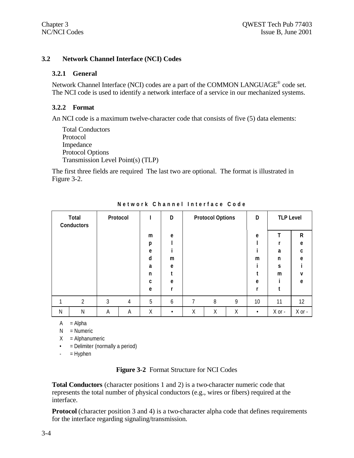#### **3.2 Network Channel Interface (NCI) Codes**

#### **3.2.1 General**

Network Channel Interface (NCI) codes are a part of the COMMON LANGUAGE<sup>®</sup> code set. The NCI code is used to identify a network interface of a service in our mechanized systems.

#### **3.2.2 Format**

An NCI code is a maximum twelve-character code that consists of five (5) data elements:

```
Total Conductors
Protocol
Impedance
Protocol Options
Transmission Level Point(s) (TLP)
```
The first three fields are required The last two are optional. The format is illustrated in Figure 3-2.

|   | Total<br><b>Conductors</b> |   | Protocol |   | D         |   | <b>Protocol Options</b> |   | D         | <b>TLP Level</b> |            |
|---|----------------------------|---|----------|---|-----------|---|-------------------------|---|-----------|------------------|------------|
|   |                            |   |          | m | e         |   |                         |   | e         |                  | R          |
|   |                            |   |          | p |           |   |                         |   |           |                  | e          |
|   |                            |   |          | e |           |   |                         |   |           | a                | C          |
|   |                            |   |          | d | m         |   |                         |   | m         | n                | e          |
|   |                            |   |          | a | e         |   |                         |   |           | S                |            |
|   |                            |   |          | n |           |   |                         |   |           | m                | v          |
|   |                            |   |          | C | e         |   |                         |   | e         |                  | e          |
|   |                            |   |          | e |           |   |                         |   |           |                  |            |
|   | $\overline{2}$             | 3 | 4        | 5 | 6         | 7 | 8                       | 9 | 10        | 11               | $12 \,$    |
| N | Ν                          | Α | Α        | Χ | $\bullet$ | Χ | Χ                       | Χ | $\bullet$ | $X$ or $-$       | $X$ or $-$ |

**Network Channel Interface Code**

 $A = Alpha$ 

 $N =$  Numeric

 $X =$ Alphanumeric

• = Delimiter (normally a period)

 $=$  Hyphen

#### **Figure 3-2** Format Structure for NCI Codes

**Total Conductors** (character positions 1 and 2) is a two-character numeric code that represents the total number of physical conductors (e.g., wires or fibers) required at the interface.

**Protocol** (character position 3 and 4) is a two-character alpha code that defines requirements for the interface regarding signaling/transmission.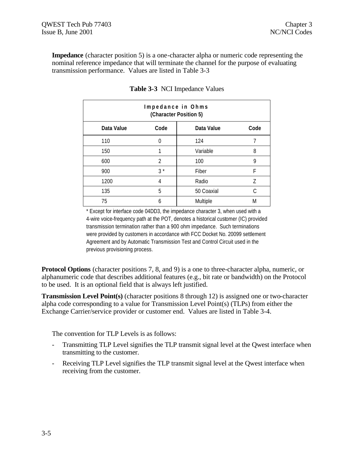**Impedance** (character position 5) is a one-character alpha or numeric code representing the nominal reference impedance that will terminate the channel for the purpose of evaluating transmission performance. Values are listed in Table 3-3

| Impedance in Ohms<br>(Character Position 5) |      |            |      |  |  |
|---------------------------------------------|------|------------|------|--|--|
| Data Value                                  | Code | Data Value | Code |  |  |
| 110                                         | 0    | 124        |      |  |  |
| 150                                         |      | Variable   | 8    |  |  |
| 600                                         | 2    | 100        | 9    |  |  |
| 900                                         | $3*$ | Fiber      | F    |  |  |
| 1200                                        | 4    | Radio      | 7    |  |  |
| 135                                         | 5    | 50 Coaxial | C    |  |  |
| 75                                          | 6    | Multiple   | M    |  |  |

**Table 3-3** NCI Impedance Values

\* Except for interface code 04DD3, the impedance character 3, when used with a 4-wire voice-frequency path at the POT, denotes a historical customer (IC) provided transmission termination rather than a 900 ohm impedance. Such terminations were provided by customers in accordance with FCC Docket No. 20099 settlement Agreement and by Automatic Transmission Test and Control Circuit used in the previous provisioning process.

**Protocol Options** (character positions 7, 8, and 9) is a one to three-character alpha, numeric, or alphanumeric code that describes additional features (e.g., bit rate or bandwidth) on the Protocol to be used. It is an optional field that is always left justified.

**Transmission Level Point(s)** (character positions 8 through 12) is assigned one or two-character alpha code corresponding to a value for Transmission Level Point(s) (TLPs) from either the Exchange Carrier/service provider or customer end. Values are listed in Table 3-4.

The convention for TLP Levels is as follows:

- Transmitting TLP Level signifies the TLP transmit signal level at the Qwest interface when transmitting to the customer.
- Receiving TLP Level signifies the TLP transmit signal level at the Qwest interface when receiving from the customer.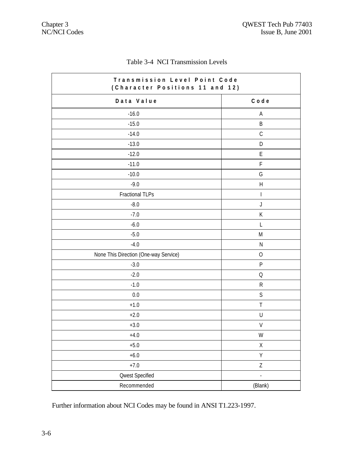| Transmission Level Point Code<br>(Character Positions 11 and 12) |                           |  |  |  |
|------------------------------------------------------------------|---------------------------|--|--|--|
| Data Value                                                       | Code                      |  |  |  |
| $-16.0$                                                          | A                         |  |  |  |
| $-15.0$                                                          | $\sf B$                   |  |  |  |
| $-14.0$                                                          | $\mathsf C$               |  |  |  |
| $-13.0$                                                          | $\mathsf D$               |  |  |  |
| $-12.0$                                                          | $\mathsf E$               |  |  |  |
| $-11.0$                                                          | $\mathsf F$               |  |  |  |
| $-10.0$                                                          | G                         |  |  |  |
| $-9.0$                                                           | $\boldsymbol{\mathsf{H}}$ |  |  |  |
| Fractional TLPs                                                  | $\overline{\phantom{a}}$  |  |  |  |
| $-8.0$                                                           | $\bigcup$                 |  |  |  |
| $-7.0$                                                           | К                         |  |  |  |
| $-6.0$                                                           | L                         |  |  |  |
| $-5.0$                                                           | M                         |  |  |  |
| $-4.0$                                                           | $\mathsf{N}$              |  |  |  |
| None This Direction (One-way Service)                            | $\overline{O}$            |  |  |  |
| $-3.0$                                                           | $\mathsf{P}$              |  |  |  |
| $-2.0$                                                           | $\mathsf O$               |  |  |  |
| $-1.0$                                                           | ${\sf R}$                 |  |  |  |
| 0.0                                                              | $\mathsf S$               |  |  |  |
| $+1.0$                                                           | $\top$                    |  |  |  |
| $+2.0$                                                           | $\sf U$                   |  |  |  |
| $+3.0$                                                           | V                         |  |  |  |
| $+4.0$                                                           | W                         |  |  |  |
| $+5.0$                                                           | $\mathsf X$               |  |  |  |
| $+6.0$                                                           | Υ                         |  |  |  |
| $+7.0$                                                           | $\ensuremath{\mathsf{Z}}$ |  |  |  |
| <b>Qwest Specified</b>                                           | $\overline{a}$            |  |  |  |
| Recommended                                                      | (Blank)                   |  |  |  |

# Table 3-4 NCI Transmission Levels

Further information about NCI Codes may be found in ANSI T1.223-1997.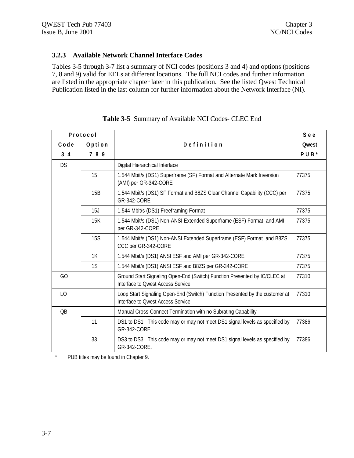#### **3.2.3 Available Network Channel Interface Codes**

Tables 3-5 through 3-7 list a summary of NCI codes (positions 3 and 4) and options (positions 7, 8 and 9) valid for EELs at different locations. The full NCI codes and further information are listed in the appropriate chapter later in this publication. See the listed Qwest Technical Publication listed in the last column for further information about the Network Interface (NI).

| Protocol       |            |                                                                                                                   | See              |
|----------------|------------|-------------------------------------------------------------------------------------------------------------------|------------------|
| Code           | Option     | Definition                                                                                                        | <b>Qwest</b>     |
| 3 <sub>4</sub> | 789        |                                                                                                                   | PUB <sup>*</sup> |
| <b>DS</b>      |            | Digital Hierarchical Interface                                                                                    |                  |
|                | 15         | 1.544 Mbit/s (DS1) Superframe (SF) Format and Alternate Mark Inversion<br>(AMI) per GR-342-CORE                   | 77375            |
|                | 15B        | 1.544 Mbit/s (DS1) SF Format and B8ZS Clear Channel Capability (CCC) per<br><b>GR-342-CORE</b>                    | 77375            |
|                | 15J        | 1.544 Mbit/s (DS1) Freeframing Format                                                                             | 77375            |
|                | 15K        | 1.544 Mbit/s (DS1) Non-ANSI Extended Superframe (ESF) Format and AMI<br>per GR-342-CORE                           | 77375            |
|                | <b>15S</b> | 1.544 Mbit/s (DS1) Non-ANSI Extended Superframe (ESF) Format and B8ZS<br>CCC per GR-342-CORE                      | 77375            |
|                | 1K         | 1.544 Mbit/s (DS1) ANSI ESF and AMI per GR-342-CORE                                                               | 77375            |
|                | 1S         | 1.544 Mbit/s (DS1) ANSI ESF and B8ZS per GR-342-CORE                                                              | 77375            |
| GO             |            | Ground Start Signaling Open-End (Switch) Function Presented by IC/CLEC at<br>Interface to Owest Access Service    | 77310            |
| L <sub>O</sub> |            | Loop Start Signaling Open-End (Switch) Function Presented by the customer at<br>Interface to Owest Access Service | 77310            |
| <b>QB</b>      |            | Manual Cross-Connect Termination with no Subrating Capability                                                     |                  |
|                | 11         | DS1 to DS1. This code may or may not meet DS1 signal levels as specified by<br>GR-342-CORE.                       | 77386            |
|                | 33         | DS3 to DS3. This code may or may not meet DS1 signal levels as specified by<br>GR-342-CORE.                       | 77386            |

**Table 3-5** Summary of Available NCI Codes- CLEC End

\* PUB titles may be found in Chapter 9.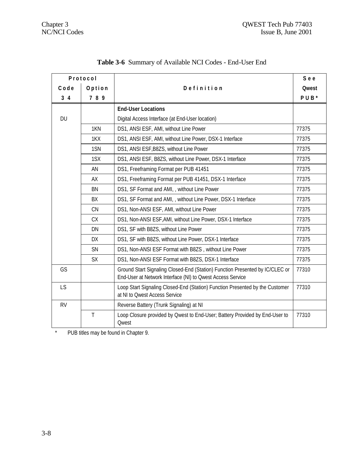| Protocol       |              |                                                                                                                                            | See          |
|----------------|--------------|--------------------------------------------------------------------------------------------------------------------------------------------|--------------|
| Code           | Option       | Definition                                                                                                                                 | <b>Qwest</b> |
| 3 <sub>4</sub> | 789          |                                                                                                                                            | PUB*         |
|                |              | <b>End-User Locations</b>                                                                                                                  |              |
| <b>DU</b>      |              | Digital Access Interface (at End-User location)                                                                                            |              |
|                | 1KN          | DS1, ANSI ESF, AMI, without Line Power                                                                                                     | 77375        |
|                | 1KX          | DS1, ANSI ESF, AMI, without Line Power, DSX-1 Interface                                                                                    | 77375        |
|                | 1SN          | DS1, ANSI ESF, B8ZS, without Line Power                                                                                                    | 77375        |
|                | 1SX          | DS1, ANSI ESF, B8ZS, without Line Power, DSX-1 Interface                                                                                   | 77375        |
|                | AN           | DS1, Freeframing Format per PUB 41451                                                                                                      | 77375        |
|                | <b>AX</b>    | DS1, Freeframing Format per PUB 41451, DSX-1 Interface                                                                                     | 77375        |
|                | <b>BN</b>    | DS1, SF Format and AMI, , without Line Power                                                                                               | 77375        |
|                | BX           | DS1, SF Format and AMI, , without Line Power, DSX-1 Interface                                                                              | 77375        |
|                | CN           | DS1, Non-ANSI ESF, AMI, without Line Power                                                                                                 | 77375        |
|                | <b>CX</b>    | DS1, Non-ANSI ESF, AMI, without Line Power, DSX-1 Interface                                                                                | 77375        |
|                | DN           | DS1, SF with B8ZS, without Line Power                                                                                                      | 77375        |
|                | DX           | DS1, SF with B8ZS, without Line Power, DSX-1 Interface                                                                                     | 77375        |
|                | SN           | DS1, Non-ANSI ESF Format with B8ZS, without Line Power                                                                                     | 77375        |
|                | <b>SX</b>    | DS1, Non-ANSI ESF Format with B8ZS, DSX-1 Interface                                                                                        | 77375        |
| GS             |              | Ground Start Signaling Closed-End (Station) Function Presented by IC/CLEC or<br>End-User at Network Interface (NI) to Qwest Access Service | 77310        |
| LS             |              | Loop Start Signaling Closed-End (Station) Function Presented by the Customer<br>at NI to Qwest Access Service                              | 77310        |
| <b>RV</b>      |              | Reverse Battery (Trunk Signaling) at NI                                                                                                    |              |
|                | $\mathsf{T}$ | Loop Closure provided by Qwest to End-User; Battery Provided by End-User to<br><b>Qwest</b>                                                | 77310        |

|  |  | <b>Table 3-6</b> Summary of Available NCI Codes - End-User End |  |  |  |
|--|--|----------------------------------------------------------------|--|--|--|
|--|--|----------------------------------------------------------------|--|--|--|

\* PUB titles may be found in Chapter 9.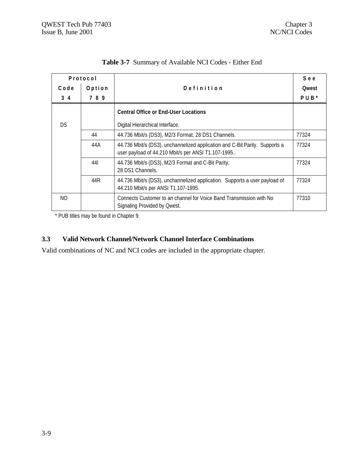| Protocol   |        |                                                                                                                                   | See              |
|------------|--------|-----------------------------------------------------------------------------------------------------------------------------------|------------------|
| Code       | Option | Definition                                                                                                                        | <b>Qwest</b>     |
| $3\quad 4$ | 789    |                                                                                                                                   | PUB <sup>*</sup> |
|            |        | <b>Central Office or End-User Locations</b>                                                                                       |                  |
| <b>DS</b>  |        | Digital Hierarchical Interface.                                                                                                   |                  |
|            | 44     | 44.736 Mbit/s (DS3), M2/3 Format, 28 DS1 Channels.                                                                                | 77324            |
|            | 44A    | 44.736 Mbit/s (DS3), unchannelized application and C-Bit Parity. Supports a<br>user payload of 44.210 Mbit/s per ANSI T1.107-1995 | 77324            |
|            | 441    | 44.736 Mbit/s (DS3), M2/3 Format and C-Bit Parity,<br>28 DS1 Channels.                                                            | 77324            |
|            | 44R    | 44.736 Mbit/s (DS3), unchannelized application. Supports a user payload of<br>44.210 Mbit/s per ANSI T1.107-1995.                 | 77324            |
| NO.        |        | Connects Customer to an channel for Voice Band Transmission with No<br>Signaling Provided by Qwest.                               | 77310            |

**Table 3-7** Summary of Available NCI Codes - Either End

\* PUB titles may be found in Chapter 9.

#### **3.3 Valid Network Channel/Network Channel Interface Combinations**

Valid combinations of NC and NCI codes are included in the appropriate chapter.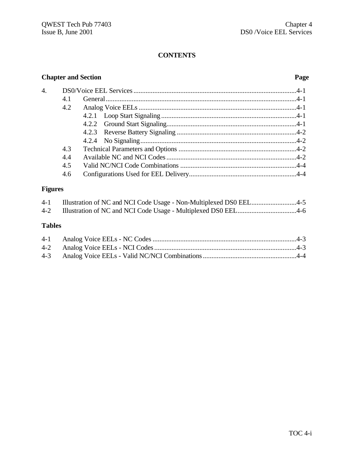# **CONTENTS**

# **Chapter and Section Page**

| $\overline{4}$ . |     |  |
|------------------|-----|--|
|                  | 4.1 |  |
|                  | 4.2 |  |
|                  |     |  |
|                  |     |  |
|                  |     |  |
|                  |     |  |
|                  | 4.3 |  |
|                  | 4.4 |  |
|                  | 4.5 |  |
|                  | 4.6 |  |

# **Figures**

|  | 4-1 Illustration of NC and NCI Code Usage - Non-Multiplexed DS0 EEL4-5 |
|--|------------------------------------------------------------------------|
|  |                                                                        |

# **Tables**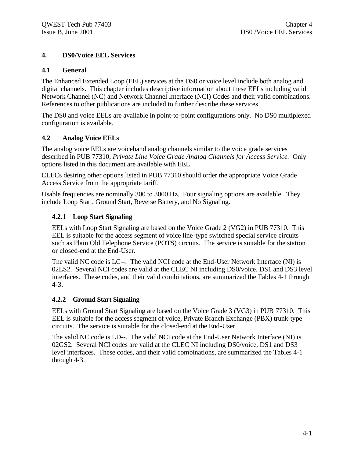#### **4. DS0/Voice EEL Services**

#### **4.1 General**

The Enhanced Extended Loop (EEL) services at the DS0 or voice level include both analog and digital channels. This chapter includes descriptive information about these EELs including valid Network Channel (NC) and Network Channel Interface (NCI) Codes and their valid combinations. References to other publications are included to further describe these services.

The DS0 and voice EELs are available in point-to-point configurations only. No DS0 multiplexed configuration is available.

#### **4.2 Analog Voice EELs**

The analog voice EELs are voiceband analog channels similar to the voice grade services described in PUB 77310, *Private Line Voice Grade Analog Channels for Access Service.* Only options listed in this document are available with EEL.

CLECs desiring other options listed in PUB 77310 should order the appropriate Voice Grade Access Service from the appropriate tariff.

Usable frequencies are nominally 300 to 3000 Hz. Four signaling options are available. They include Loop Start, Ground Start, Reverse Battery, and No Signaling.

#### **4.2.1 Loop Start Signaling**

EELs with Loop Start Signaling are based on the Voice Grade 2 (VG2) in PUB 77310. This EEL is suitable for the access segment of voice line-type switched special service circuits such as Plain Old Telephone Service (POTS) circuits. The service is suitable for the station or closed-end at the End-User.

The valid NC code is LC--. The valid NCI code at the End-User Network Interface (NI) is 02LS2. Several NCI codes are valid at the CLEC NI including DS0/voice, DS1 and DS3 level interfaces. These codes, and their valid combinations, are summarized the Tables 4-1 through 4-3.

#### **4.2.2 Ground Start Signaling**

EELs with Ground Start Signaling are based on the Voice Grade 3 (VG3) in PUB 77310. This EEL is suitable for the access segment of voice, Private Branch Exchange (PBX) trunk-type circuits. The service is suitable for the closed-end at the End-User.

The valid NC code is LD--. The valid NCI code at the End-User Network Interface (NI) is 02GS2. Several NCI codes are valid at the CLEC NI including DS0/voice, DS1 and DS3 level interfaces. These codes, and their valid combinations, are summarized the Tables 4-1 through 4-3.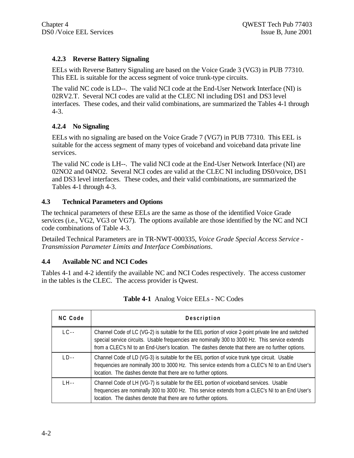### **4.2.3 Reverse Battery Signaling**

EELs with Reverse Battery Signaling are based on the Voice Grade 3 (VG3) in PUB 77310. This EEL is suitable for the access segment of voice trunk-type circuits.

The valid NC code is LD--. The valid NCI code at the End-User Network Interface (NI) is 02RV2.T. Several NCI codes are valid at the CLEC NI including DS1 and DS3 level interfaces. These codes, and their valid combinations, are summarized the Tables 4-1 through 4-3.

#### **4.2.4 No Signaling**

EELs with no signaling are based on the Voice Grade 7 (VG7) in PUB 77310. This EEL is suitable for the access segment of many types of voiceband and voiceband data private line services.

The valid NC code is LH--. The valid NCI code at the End-User Network Interface (NI) are 02NO2 and 04NO2. Several NCI codes are valid at the CLEC NI including DS0/voice, DS1 and DS3 level interfaces. These codes, and their valid combinations, are summarized the Tables 4-1 through 4-3.

#### **4.3 Technical Parameters and Options**

The technical parameters of these EELs are the same as those of the identified Voice Grade services (i.e., VG2, VG3 or VG7). The options available are those identified by the NC and NCI code combinations of Table 4-3.

Detailed Technical Parameters are in TR-NWT-000335, *Voice Grade Special Access Service - Transmission Parameter Limits and Interface Combinations*.

### **4.4 Available NC and NCI Codes**

Tables 4-1 and 4-2 identify the available NC and NCI Codes respectively. The access customer in the tables is the CLEC. The access provider is Qwest.

| NC Code   | Description                                                                                                                                                                                                                                                                                                 |
|-----------|-------------------------------------------------------------------------------------------------------------------------------------------------------------------------------------------------------------------------------------------------------------------------------------------------------------|
| $IC -$    | Channel Code of LC (VG-2) is suitable for the EEL portion of voice 2-point private line and switched<br>special service circuits. Usable frequencies are nominally 300 to 3000 Hz. This service extends<br>from a CLEC's NI to an End-User's location. The dashes denote that there are no further options. |
| $1 \nD -$ | Channel Code of LD (VG-3) is suitable for the EEL portion of voice trunk type circuit. Usable<br>frequencies are nominally 300 to 3000 Hz. This service extends from a CLEC's NI to an End User's<br>location. The dashes denote that there are no further options.                                         |
| $H -$     | Channel Code of LH (VG-7) is suitable for the EEL portion of voiceband services. Usable<br>frequencies are nominally 300 to 3000 Hz. This service extends from a CLEC's NI to an End User's<br>location. The dashes denote that there are no further options.                                               |

| Table 4-1 Analog Voice EELs - NC Codes |  |  |  |  |  |  |
|----------------------------------------|--|--|--|--|--|--|
|----------------------------------------|--|--|--|--|--|--|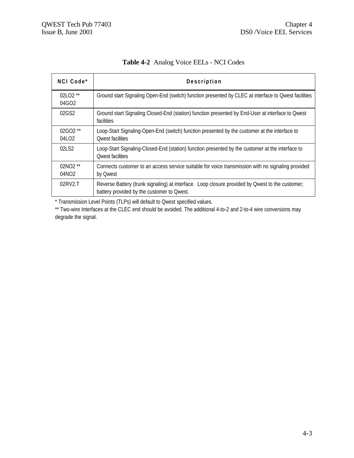| NCI Code <sup>*</sup>            | Description                                                                                                                                   |
|----------------------------------|-----------------------------------------------------------------------------------------------------------------------------------------------|
| 02LO2 **<br>$04$ GO <sub>2</sub> | Ground start Signaling Open-End (switch) function presented by CLEC at interface to Owest facilities                                          |
| 02GS2                            | Ground start Signaling Closed-End (station) function presented by End-User at interface to Qwest<br><b>facilities</b>                         |
| $02GO2$ **<br>04LO2              | Loop-Start Signaling-Open-End (switch) function presented by the customer at the interface to<br>Owest facilities                             |
| 021S2                            | Loop-Start Signaling-Closed-End (station) function presented by the customer at the interface to<br>Owest facilities                          |
| 02NO2 **<br>04NO2                | Connects customer to an access service suitable for voice transmission with no signaling provided<br>by Qwest                                 |
| $02$ RV $2$ .T                   | Reverse Battery (trunk signaling) at interface. Loop closure provided by Qwest to the customer;<br>battery provided by the customer to Qwest. |

**Table 4-2** Analog Voice EELs - NCI Codes

\* Transmission Level Points (TLPs) will default to Qwest specified values.

\*\* Two-wire Interfaces at the CLEC end should be avoided. The additional 4-to-2 and 2-to-4 wire conversions may degrade the signal.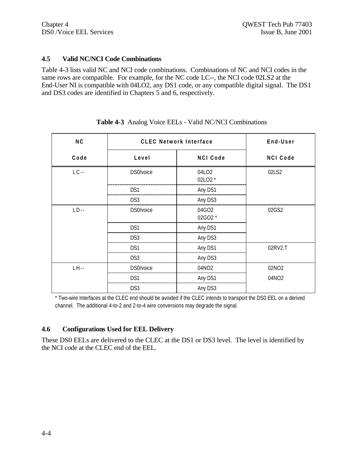#### **4.5 Valid NC/NCI Code Combinations**

Table 4-3 lists valid NC and NCI code combinations. Combinations of NC and NCI codes in the same rows are compatible. For example, for the NC code LC--, the NCI code 02LS2 at the End-User NI is compatible with 04LO2, any DS1 code, or any compatible digital signal. The DS1 and DS3 codes are identified in Chapters 5 and 6, respectively.

| <b>NC</b> | <b>CLEC Network Interface</b> |                  | End-User        |  |
|-----------|-------------------------------|------------------|-----------------|--|
| Code      | Level                         | <b>NCI Code</b>  | <b>NCI Code</b> |  |
| $LC -$    | DS0/voice                     | 04LO2<br>02LO2 * | 02LS2           |  |
|           | DS1                           | Any DS1          |                 |  |
|           | DS <sub>3</sub>               | Any DS3          |                 |  |
| $LD -$    | DS0/voice                     | 04GO2<br>02GO2 * | 02GS2           |  |
|           | DS1                           | Any DS1          |                 |  |
|           | DS <sub>3</sub>               | Any DS3          |                 |  |
|           | DS1                           | Any DS1          | 02RV2.T         |  |
|           | DS3                           | Any DS3          |                 |  |
| $LH -$    | DS0/voice                     | 04NO2            | 02NO2           |  |
|           | DS1                           | Any DS1          | 04NO2           |  |
|           | DS3                           | Any DS3          |                 |  |

#### **Table 4-3** Analog Voice EELs - Valid NC/NCI Combinations

\* Two-wire Interfaces at the CLEC end should be avoided if the CLEC intends to transport the DS0 EEL on a derived channel. The additional 4-to-2 and 2-to-4 wire conversions may degrade the signal.

#### **4.6 Configurations Used for EEL Delivery**

These DS0 EELs are delivered to the CLEC at the DS1 or DS3 level. The level is identified by the NCI code at the CLEC end of the EEL.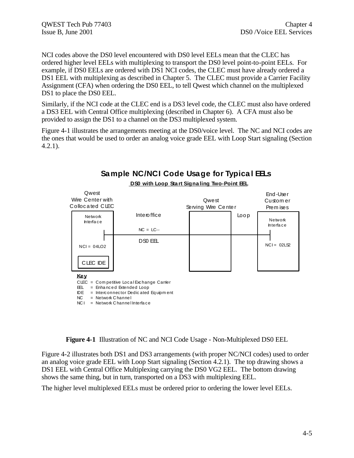NCI codes above the DS0 level encountered with DS0 level EELs mean that the CLEC has ordered higher level EELs with multiplexing to transport the DS0 level point-to-point EELs. For example, if DS0 EELs are ordered with DS1 NCI codes, the CLEC must have already ordered a DS1 EEL with multiplexing as described in Chapter 5. The CLEC must provide a Carrier Facility Assignment (CFA) when ordering the DS0 EEL, to tell Qwest which channel on the multiplexed DS1 to place the DS0 EEL.

Similarly, if the NCI code at the CLEC end is a DS3 level code, the CLEC must also have ordered a DS3 EEL with Central Office multiplexing (described in Chapter 6). A CFA must also be provided to assign the DS1 to a channel on the DS3 multiplexed system.

Figure 4-1 illustrates the arrangements meeting at the DS0/voice level. The NC and NCI codes are the ones that would be used to order an analog voice grade EEL with Loop Start signaling (Section 4.2.1).



**Figure 4-1** Illustration of NC and NCI Code Usage - Non-Multiplexed DS0 EEL

Figure 4-2 illustrates both DS1 and DS3 arrangements (with proper NC/NCI codes) used to order an analog voice grade EEL with Loop Start signaling (Section 4.2.1). The top drawing shows a DS1 EEL with Central Office Multiplexing carrying the DS0 VG2 EEL. The bottom drawing shows the same thing, but in turn, transported on a DS3 with multiplexing EEL.

The higher level multiplexed EELs must be ordered prior to ordering the lower level EELs.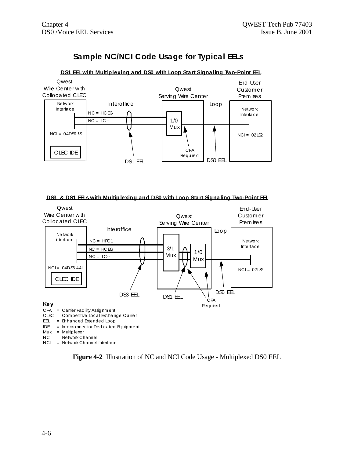# Sample NC/NCI Code Usage for Typical EELs

#### DS1 EEL with Multiplexing and DS0 with Loop Start Signaling Two-Point EEL



#### DS3 & DS1 ELs with Multiplexing and DS0 with Loop Start Signaling Two-Point EL



NCI = Network Channel Interface

Figure 4-2 Illustration of NC and NCI Code Usage - Multiplexed DS0 EEL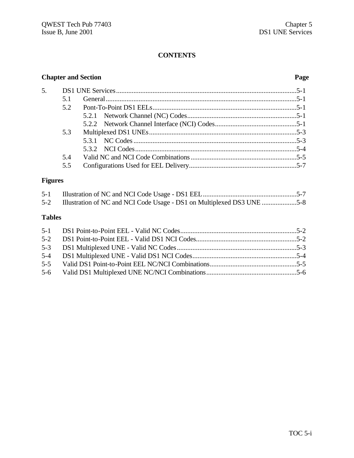# **CONTENTS**

# **Chapter and Section Page**

| 51  |  |
|-----|--|
|     |  |
|     |  |
|     |  |
| 5.3 |  |
|     |  |
|     |  |
| 5.4 |  |
| 5.5 |  |

# **Figures**

|  | 5-2 Illustration of NC and NCI Code Usage - DS1 on Multiplexed DS3 UNE 5-8 |  |
|--|----------------------------------------------------------------------------|--|
|  |                                                                            |  |

# **Tables**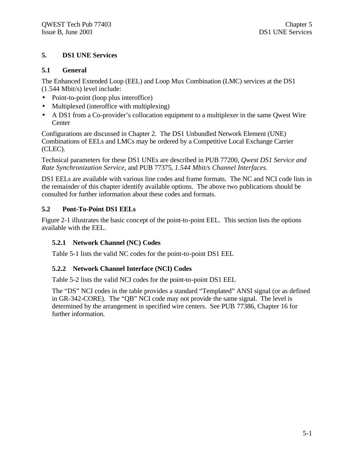#### **5. DS1 UNE Services**

#### **5.1 General**

The Enhanced Extended Loop (EEL) and Loop Mux Combination (LMC) services at the DS1 (1.544 Mbit/s) level include:

- Point-to-point (loop plus interoffice)
- Multiplexed (interoffice with multiplexing)
- A DS1 from a Co-provider's collocation equipment to a multiplexer in the same Qwest Wire Center

Configurations are discussed in Chapter 2. The DS1 Unbundled Network Element (UNE) Combinations of EELs and LMCs may be ordered by a Competitive Local Exchange Carrier (CLEC).

Technical parameters for these DS1 UNEs are described in PUB 77200, *Qwest DS1 Service and Rate Synchronization Service,* and PUB 77375, *1.544 Mbit/s Channel Interfaces.*

DS1 EELs are available with various line codes and frame formats. The NC and NCI code lists in the remainder of this chapter identify available options. The above two publications should be consulted for further information about these codes and formats.

#### **5.2 Pont-To-Point DS1 EELs**

Figure 2-1 illustrates the basic concept of the point-to-point EEL. This section lists the options available with the EEL.

### **5.2.1 Network Channel (NC) Codes**

Table 5-1 lists the valid NC codes for the point-to-point DS1 EEL

#### **5.2.2 Network Channel Interface (NCI) Codes**

Table 5-2 lists the valid NCI codes for the point-to-point DS1 EEL

The "DS" NCI codes in the table provides a standard "Templated" ANSI signal (or as defined in GR-342-CORE). The "QB" NCI code may not provide the same signal. The level is determined by the arrangement in specified wire centers. See PUB 77386, Chapter 16 for further information.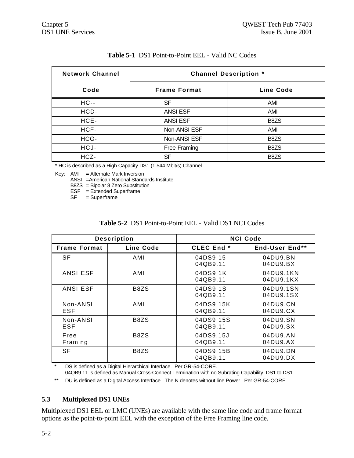|  |  | <b>Table 5-1</b> DS1 Point-to-Point EEL - Valid NC Codes |  |
|--|--|----------------------------------------------------------|--|
|--|--|----------------------------------------------------------|--|

| <b>Network Channel</b> | <b>Channel Description *</b> |                               |  |
|------------------------|------------------------------|-------------------------------|--|
| Code                   | <b>Frame Format</b>          | Line Code                     |  |
| $HC -$                 | SF                           | AMI                           |  |
| HCD-                   | <b>ANSI ESF</b>              | AMI                           |  |
| HCE-                   | <b>ANSI ESF</b>              | B <sub>8</sub> ZS             |  |
| HCF-                   | Non-ANSI ESF                 | AMI                           |  |
| HCG-                   | Non-ANSI ESF                 | B <sub>8</sub> Z <sub>S</sub> |  |
| HCJ-                   | Free Framing                 | B <sub>8</sub> ZS             |  |
| HCZ-                   | SF                           | B8ZS                          |  |

\* HC is described as a High Capacity DS1 (1.544 Mbit/s) Channel

Key: AMI = Alternate Mark Inversion

ANSI =American National Standards Institute

B8ZS = Bipolar 8 Zero Substitution

ESF = Extended Superframe

SF = Superframe

|  |  | <b>Table 5-2</b> DS1 Point-to-Point EEL - Valid DS1 NCI Codes |  |  |
|--|--|---------------------------------------------------------------|--|--|
|--|--|---------------------------------------------------------------|--|--|

| <b>Description</b>  |           | <b>NCI Code</b>       |                        |  |
|---------------------|-----------|-----------------------|------------------------|--|
| <b>Frame Format</b> | Line Code | CLEC End <sup>*</sup> | End-User End**         |  |
| <b>SF</b>           | AMI       | 04DS9.15<br>04QB9.11  | 04DU9.BN<br>04DU9.BX   |  |
| <b>ANSI ESF</b>     | AMI       | 04DS9.1K<br>04QB9.11  | 04DU9.1KN<br>04DU9.1KX |  |
| <b>ANSI ESF</b>     | B8ZS      | 04DS9.1S<br>04QB9.11  | 04DU9.1SN<br>04DU9.1SX |  |
| Non-ANSI<br>ESF     | AMI       | 04DS9.15K<br>04QB9.11 | 04DU9.CN<br>04DU9.CX   |  |
| Non-ANSI<br>ESF     | B8ZS      | 04DS9.15S<br>04QB9.11 | 04DU9.SN<br>04DU9.SX   |  |
| Free<br>Framing     | B8ZS      | 04DS9.15J<br>04QB9.11 | 04DU9.AN<br>04DU9.AX   |  |
| <b>SF</b>           | B8ZS      | 04DS9.15B<br>04QB9.11 | 04DU9.DN<br>04DU9.DX   |  |

\* DS is defined as a Digital Hierarchical Interface. Per GR-54-CORE. 04QB9.11 is defined as Manual Cross-Connect Termination with no Subrating Capability, DS1 to DS1.

\*\* DU is defined as a Digital Access Interface. The N denotes without line Power. Per GR-54-CORE

#### **5.3 Multiplexed DS1 UNEs**

Multiplexed DS1 EEL or LMC (UNEs) are available with the same line code and frame format options as the point-to-point EEL with the exception of the Free Framing line code.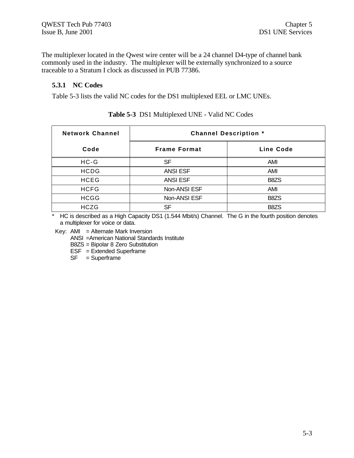The multiplexer located in the Qwest wire center will be a 24 channel D4-type of channel bank commonly used in the industry. The multiplexer will be externally synchronized to a source traceable to a Stratum I clock as discussed in PUB 77386.

#### **5.3.1 NC Codes**

Table 5-3 lists the valid NC codes for the DS1 multiplexed EEL or LMC UNEs.

| <b>Network Channel</b> | <b>Channel Description *</b> |                               |
|------------------------|------------------------------|-------------------------------|
| Code                   | <b>Frame Format</b>          | Line Code                     |
| $HC-G$                 | SF                           | AMI                           |
| <b>HCDG</b>            | <b>ANSI ESF</b>              | AMI                           |
| <b>HCEG</b>            | <b>ANSI ESF</b>              | B8ZS                          |
| <b>HCFG</b>            | Non-ANSI ESF                 | AMI                           |
| <b>HCGG</b>            | Non-ANSI ESF                 | B <sub>8</sub> Z <sub>S</sub> |
| <b>HCZG</b>            | SF                           | B <sub>8</sub> Z <sub>S</sub> |

#### **Table 5-3** DS1 Multiplexed UNE - Valid NC Codes

\* HC is described as a High Capacity DS1 (1.544 Mbit/s) Channel. The G in the fourth position denotes a multiplexer for voice or data.

Key:  $AMI =$  Alternate Mark Inversion

ANSI =American National Standards Institute

B8ZS = Bipolar 8 Zero Substitution

 $ESF = Extended Superframe$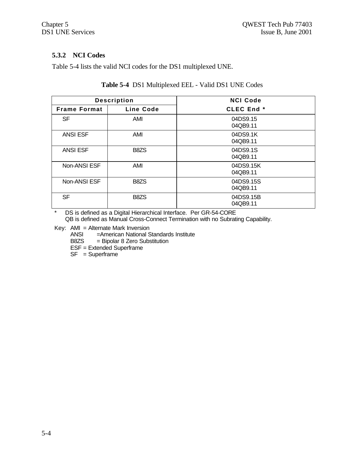# **5.3.2 NCI Codes**

Table 5-4 lists the valid NCI codes for the DS1 multiplexed UNE.

| <b>Description</b>  |                  | <b>NCI Code</b>       |
|---------------------|------------------|-----------------------|
| <b>Frame Format</b> | <b>Line Code</b> | <b>CLEC End *</b>     |
| <b>SF</b>           | AMI              | 04DS9.15<br>04QB9.11  |
| <b>ANSI ESF</b>     | AMI              | 04DS9.1K<br>04QB9.11  |
| <b>ANSI ESF</b>     | B8ZS             | 04DS9.1S<br>04QB9.11  |
| Non-ANSI ESF        | AMI              | 04DS9.15K<br>04QB9.11 |
| Non-ANSI ESF        | B8ZS             | 04DS9.15S<br>04QB9.11 |
| <b>SF</b>           | B8ZS             | 04DS9.15B<br>04QB9.11 |

#### **Table 5-4** DS1 Multiplexed EEL - Valid DS1 UNE Codes

\* DS is defined as a Digital Hierarchical Interface. Per GR-54-CORE QB is defined as Manual Cross-Connect Termination with no Subrating Capability.

Key: AMI = Alternate Mark Inversion

ANSI = American National Standards Institute<br>B8ZS = Bipolar 8 Zero Substitution

 $=$  Bipolar 8 Zero Substitution

ESF = Extended Superframe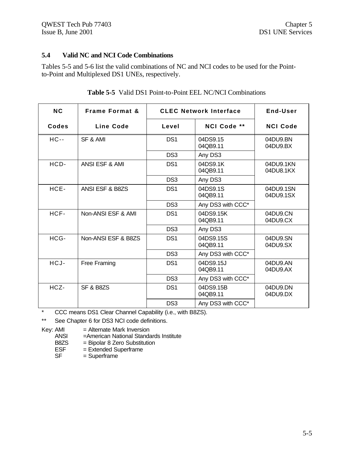### **5.4 Valid NC and NCI Code Combinations**

Tables 5-5 and 5-6 list the valid combinations of NC and NCI codes to be used for the Pointto-Point and Multiplexed DS1 UNEs, respectively.

| <b>NC</b> | <b>Frame Format &amp;</b> | <b>CLEC Network Interface</b> |                       | End-User               |
|-----------|---------------------------|-------------------------------|-----------------------|------------------------|
| Codes     | Line Code                 | Level                         | NCI Code **           | <b>NCI Code</b>        |
| $HC -$    | SF & AMI                  | DS <sub>1</sub>               | 04DS9.15<br>04QB9.11  | 04DU9.BN<br>04DU9.BX   |
|           |                           | DS <sub>3</sub>               | Any DS3               |                        |
| HCD-      | ANSI ESF & AMI            | DS <sub>1</sub>               | 04DS9.1K<br>04QB9.11  | 04DU9.1KN<br>04DU8.1KX |
|           |                           | DS <sub>3</sub>               | Any DS3               |                        |
| HCE-      | ANSI ESF & B8ZS           | DS <sub>1</sub>               | 04DS9.1S<br>04QB9.11  | 04DU9.1SN<br>04DU9.1SX |
|           |                           | DS <sub>3</sub>               | Any DS3 with CCC*     |                        |
| HCF-      | Non-ANSI ESF & AMI        | DS <sub>1</sub>               | 04DS9.15K<br>04QB9.11 | 04DU9.CN<br>04DU9.CX   |
|           |                           | DS <sub>3</sub>               | Any DS3               |                        |
| HCG-      | Non-ANSI ESF & B8ZS       | DS <sub>1</sub>               | 04DS9.15S<br>04QB9.11 | 04DU9.SN<br>04DU9.SX   |
|           |                           | DS <sub>3</sub>               | Any DS3 with CCC*     |                        |
| HCJ-      | Free Framing              | DS <sub>1</sub>               | 04DS9.15J<br>04QB9.11 | 04DU9.AN<br>04DU9.AX   |
|           |                           | DS <sub>3</sub>               | Any DS3 with CCC*     |                        |
| HCZ-      | <b>SF &amp; B8ZS</b>      | DS <sub>1</sub>               | 04DS9.15B<br>04QB9.11 | 04DU9.DN<br>04DU9.DX   |
|           |                           | DS <sub>3</sub>               | Any DS3 with CCC*     |                        |

#### **Table 5-5** Valid DS1 Point-to-Point EEL NC/NCI Combinations

\* CCC means DS1 Clear Channel Capability (i.e., with B8ZS).

\*\* See Chapter 6 for DS3 NCI code definitions.

Key: AMI = Alternate Mark Inversion<br>ANSI = American National Standa

ANSI = American National Standards Institute<br>B8ZS = Bipolar 8 Zero Substitution

B8ZS = Bipolar 8 Zero Substitution<br>ESF = Extended Superframe

 $=$  Extended Superframe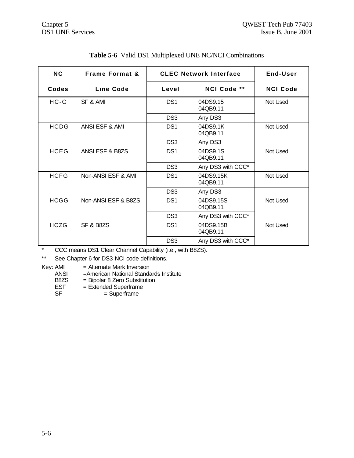| <b>NC</b>   | <b>Frame Format &amp;</b> | <b>CLEC Network Interface</b> |                       | End-User        |
|-------------|---------------------------|-------------------------------|-----------------------|-----------------|
| Codes       | Line Code                 | Level                         | NCI Code **           | <b>NCI Code</b> |
| $HC-G$      | SF & AMI                  | DS <sub>1</sub>               | 04DS9.15<br>04QB9.11  | Not Used        |
|             |                           | DS <sub>3</sub>               | Any DS3               |                 |
| <b>HCDG</b> | ANSI ESF & AMI            | DS <sub>1</sub>               | 04DS9.1K<br>04QB9.11  | Not Used        |
|             |                           | DS <sub>3</sub>               | Any DS3               |                 |
| <b>HCEG</b> | ANSI ESF & B8ZS           | DS <sub>1</sub>               | 04DS9.1S<br>04QB9.11  | Not Used        |
|             |                           | DS <sub>3</sub>               | Any DS3 with CCC*     |                 |
| <b>HCFG</b> | Non-ANSI ESF & AMI        | DS <sub>1</sub>               | 04DS9.15K<br>04QB9.11 | Not Used        |
|             |                           | DS <sub>3</sub>               | Any DS3               |                 |
| <b>HCGG</b> | Non-ANSI ESF & B8ZS       | DS <sub>1</sub>               | 04DS9.15S<br>04QB9.11 | Not Used        |
|             |                           | DS <sub>3</sub>               | Any DS3 with CCC*     |                 |
| <b>HCZG</b> | SF & B8ZS                 | DS <sub>1</sub>               | 04DS9.15B<br>04QB9.11 | Not Used        |
|             |                           | DS <sub>3</sub>               | Any DS3 with CCC*     |                 |

# **Table 5-6** Valid DS1 Multiplexed UNE NC/NCI Combinations

\* CCC means DS1 Clear Channel Capability (i.e., with B8ZS).

\*\* See Chapter 6 for DS3 NCI code definitions.

Key: AMI = Alternate Mark Inversion<br>ANSI = American National Standa

ANSI = American National Standards Institute<br>B8ZS = Bipolar 8 Zero Substitution

- B8ZS = Bipolar 8 Zero Substitution<br>ESF = Extended Superframe
	- $=$  Extended Superframe
- SF = Superframe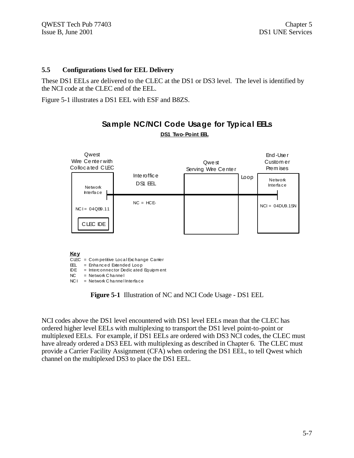#### $5.5$ **Configurations Used for EEL Delivery**

These DS1 EELs are delivered to the CLEC at the DS1 or DS3 level. The level is identified by the NCI code at the CLEC end of the EEL.

Figure 5-1 illustrates a DS1 EEL with ESF and B8ZS.



# Sample NC/NCI Code Usage for Typical EELs DS1 Two-Point EEL

Figure 5-1 Illustration of NC and NCI Code Usage - DS1 EEL

NCI codes above the DS1 level encountered with DS1 level EELs mean that the CLEC has ordered higher level EELs with multiplexing to transport the DS1 level point-to-point or multiplexed EELs. For example, if DS1 EELs are ordered with DS3 NCI codes, the CLEC must have already ordered a DS3 EEL with multiplexing as described in Chapter 6. The CLEC must provide a Carrier Facility Assignment (CFA) when ordering the DS1 EEL, to tell Qwest which channel on the multiplexed DS3 to place the DS1 EEL.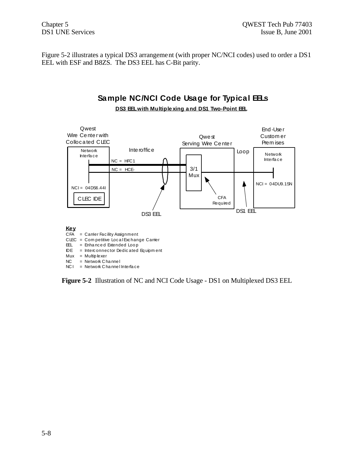Figure 5-2 illustrates a typical DS3 arrangement (with proper NC/NCI codes) used to order a DS1 EEL with ESF and B8ZS. The DS3 EEL has C-Bit parity.

# Sample NC/NCI Code Usage for Typical EELs



DS3 EEL with Multiple xing and DS1 Two-Point EEL

Figure 5-2 Illustration of NC and NCI Code Usage - DS1 on Multiplexed DS3 EEL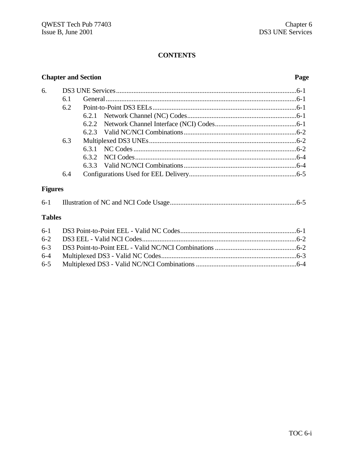# **CONTENTS**

# **Chapter and Section**

#### Page

| 6.             |     |       |  |
|----------------|-----|-------|--|
|                | 6.1 |       |  |
|                | 6.2 |       |  |
|                |     |       |  |
|                |     |       |  |
|                |     |       |  |
|                | 6.3 |       |  |
|                |     | 6.3.1 |  |
|                |     |       |  |
|                |     |       |  |
|                | 6.4 |       |  |
| <b>Figures</b> |     |       |  |
| $6-1$          |     |       |  |

#### **Tables**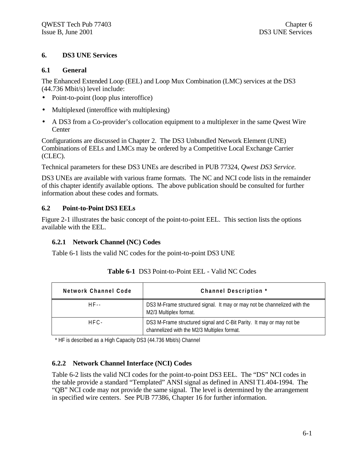#### **6. DS3 UNE Services**

#### **6.1 General**

The Enhanced Extended Loop (EEL) and Loop Mux Combination (LMC) services at the DS3 (44.736 Mbit/s) level include:

- Point-to-point (loop plus interoffice)
- Multiplexed (interoffice with multiplexing)
- A DS3 from a Co-provider's collocation equipment to a multiplexer in the same Qwest Wire **Center**

Configurations are discussed in Chapter 2. The DS3 Unbundled Network Element (UNE) Combinations of EELs and LMCs may be ordered by a Competitive Local Exchange Carrier (CLEC).

Technical parameters for these DS3 UNEs are described in PUB 77324, *Qwest DS3 Service.*

DS3 UNEs are available with various frame formats. The NC and NCI code lists in the remainder of this chapter identify available options. The above publication should be consulted for further information about these codes and formats.

### **6.2 Point-to-Point DS3 EELs**

Figure 2-1 illustrates the basic concept of the point-to-point EEL. This section lists the options available with the EEL.

### **6.2.1 Network Channel (NC) Codes**

Table 6-1 lists the valid NC codes for the point-to-point DS3 UNE

| Network Channel Code | Channel Description *                                                                                               |  |
|----------------------|---------------------------------------------------------------------------------------------------------------------|--|
| HF - -               | DS3 M-Frame structured signal. It may or may not be channelized with the<br>M2/3 Multiplex format.                  |  |
| $HFC-$               | DS3 M-Frame structured signal and C-Bit Parity. It may or may not be<br>channelized with the M2/3 Multiplex format. |  |

|  | <b>Table 6-1</b> DS3 Point-to-Point EEL - Valid NC Codes |
|--|----------------------------------------------------------|
|--|----------------------------------------------------------|

\* HF is described as a High Capacity DS3 (44.736 Mbit/s) Channel

### **6.2.2 Network Channel Interface (NCI) Codes**

Table 6-2 lists the valid NCI codes for the point-to-point DS3 EEL. The "DS" NCI codes in the table provide a standard "Templated" ANSI signal as defined in ANSI T1.404-1994. The "QB" NCI code may not provide the same signal. The level is determined by the arrangement in specified wire centers. See PUB 77386, Chapter 16 for further information.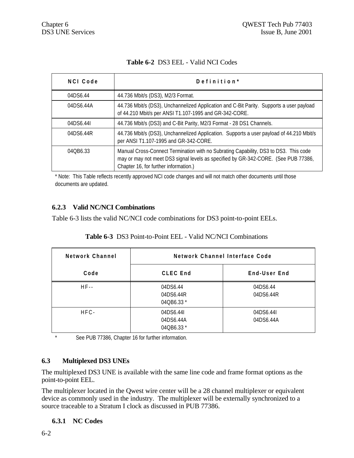|  | <b>Table 6-2 DS3 EEL - Valid NCI Codes</b> |  |
|--|--------------------------------------------|--|
|  |                                            |  |

| <b>NCI Code</b> | Definition*                                                                                                                                                                                                         |
|-----------------|---------------------------------------------------------------------------------------------------------------------------------------------------------------------------------------------------------------------|
| 04DS6.44        | 44.736 Mbit/s (DS3), M2/3 Format.                                                                                                                                                                                   |
| 04DS6.44A       | 44.736 Mbit/s (DS3), Unchannelized Application and C-Bit Parity. Supports a user payload<br>of 44.210 Mbit/s per ANSI T1.107-1995 and GR-342-CORE.                                                                  |
| 04DS6.44L       | 44.736 Mbit/s (DS3) and C-Bit Parity, M2/3 Format - 28 DS1 Channels.                                                                                                                                                |
| 04DS6.44R       | 44.736 Mbit/s (DS3), Unchannelized Application. Supports a user payload of 44.210 Mbit/s<br>per ANSI T1.107-1995 and GR-342-CORE.                                                                                   |
| 040B6.33        | Manual Cross-Connect Termination with no Subrating Capability, DS3 to DS3. This code<br>may or may not meet DS3 signal levels as specified by GR-342-CORE. (See PUB 77386,<br>Chapter 16, for further information.) |

\* Note: This Table reflects recently approved NCI code changes and will not match other documents until those documents are updated.

#### **6.2.3 Valid NC/NCI Combinations**

Table 6-3 lists the valid NC/NCI code combinations for DS3 point-to-point EELs.

| <b>Table 0-5</b> DSS POINT-tO-POINT EEL - Vand NC/NCI COMMITATIONS |                                     |                        |  |
|--------------------------------------------------------------------|-------------------------------------|------------------------|--|
| Network Channel                                                    | Network Channel Interface Code      |                        |  |
| Code                                                               | <b>CLEC End</b>                     | End-User End           |  |
| $HF -$                                                             | 04DS6.44<br>04DS6.44R<br>04QB6.33 * | 04DS6.44<br>04DS6.44R  |  |
| $HFC-$                                                             | 04DS6.44L<br>04DS6.44A              | 04DS6.44L<br>04DS6.44A |  |

**Table 6-3** DS3 Point-to-Point EEL - Valid NC/NCI Combinations

See PUB 77386, Chapter 16 for further information.

### **6.3 Multiplexed DS3 UNEs**

The multiplexed DS3 UNE is available with the same line code and frame format options as the point-to-point EEL.

04QB6.33 \*

The multiplexer located in the Qwest wire center will be a 28 channel multiplexer or equivalent device as commonly used in the industry. The multiplexer will be externally synchronized to a source traceable to a Stratum I clock as discussed in PUB 77386.

#### **6.3.1 NC Codes**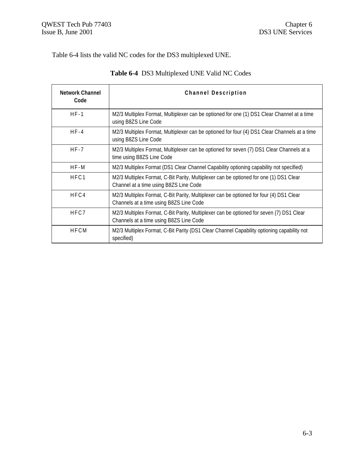Table 6-4 lists the valid NC codes for the DS3 multiplexed UNE.

| <b>Network Channel</b><br>Code | <b>Channel Description</b>                                                                                                          |
|--------------------------------|-------------------------------------------------------------------------------------------------------------------------------------|
| $HF-1$                         | M2/3 Multiplex Format, Multiplexer can be optioned for one (1) DS1 Clear Channel at a time<br>using B8ZS Line Code                  |
| $HF-4$                         | M2/3 Multiplex Format, Multiplexer can be optioned for four (4) DS1 Clear Channels at a time<br>using B8ZS Line Code                |
| $HF-7$                         | M2/3 Multiplex Format, Multiplexer can be optioned for seven (7) DS1 Clear Channels at a<br>time using B8ZS Line Code               |
| HF-M                           | M2/3 Multiplex Format (DS1 Clear Channel Capability optioning capability not specified)                                             |
| HFC1                           | M2/3 Multiplex Format, C-Bit Parity, Multiplexer can be optioned for one (1) DS1 Clear<br>Channel at a time using B8ZS Line Code    |
| HFC4                           | M2/3 Multiplex Format, C-Bit Parity, Multiplexer can be optioned for four (4) DS1 Clear<br>Channels at a time using B8ZS Line Code  |
| HFC7                           | M2/3 Multiplex Format, C-Bit Parity, Multiplexer can be optioned for seven (7) DS1 Clear<br>Channels at a time using B8ZS Line Code |
| <b>HFCM</b>                    | M2/3 Multiplex Format, C-Bit Parity (DS1 Clear Channel Capability optioning capability not<br>specified)                            |

# **Table 6-4** DS3 Multiplexed UNE Valid NC Codes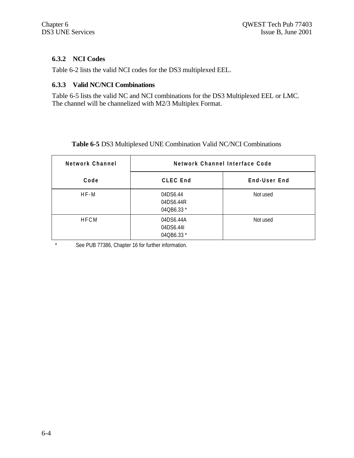### **6.3.2 NCI Codes**

Table 6-2 lists the valid NCI codes for the DS3 multiplexed EEL.

#### **6.3.3 Valid NC/NCI Combinations**

Table 6-5 lists the valid NC and NCI combinations for the DS3 Multiplexed EEL or LMC. The channel will be channelized with M2/3 Multiplex Format.

#### **Table 6-5** DS3 Multiplexed UNE Combination Valid NC/NCI Combinations

| Network Channel | Network Channel Interface Code       |              |
|-----------------|--------------------------------------|--------------|
| Code            | <b>CLEC End</b>                      | End-User End |
| $HF-M$          | 04DS6.44<br>04DS6.44R<br>04QB6.33 *  | Not used     |
| <b>HFCM</b>     | 04DS6.44A<br>04DS6.44I<br>04QB6.33 * | Not used     |

\* See PUB 77386, Chapter 16 for further information.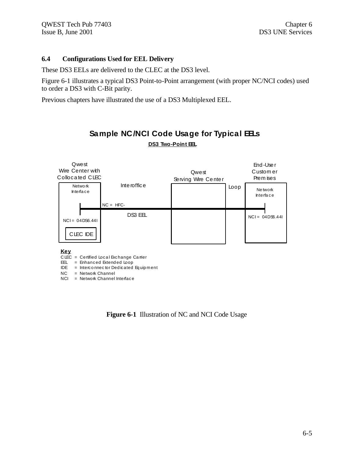#### $6.4$ **Configurations Used for EEL Delivery**

These DS3 EELs are delivered to the CLEC at the DS3 level.

Figure 6-1 illustrates a typical DS3 Point-to-Point arrangement (with proper NC/NCI codes) used to order a DS3 with C-Bit parity.

Previous chapters have illustrated the use of a DS3 Multiplexed EEL.



# Sample NC/NCI Code Usage for Typical EELs DS3 Two-Point EL

**Key** 

CLEC = Certified Local Exchange Camer

EEL = Enhanced Extended Loop<br>IDE = Interconnector Dedicated Equipment

 $NC = Network Channel$ 

 $NCI = Network Channel Inteface$ 

Figure 6-1 Illustration of NC and NCI Code Usage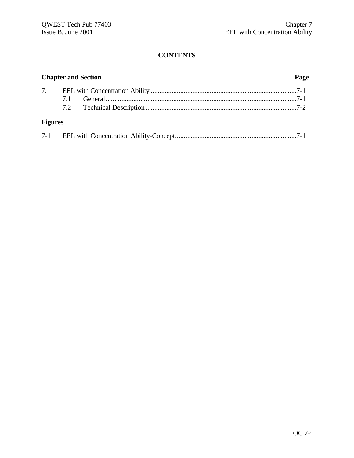# **CONTENTS**

| <b>Chapter and Section</b> |  | Page |  |
|----------------------------|--|------|--|
|                            |  |      |  |
|                            |  |      |  |
|                            |  |      |  |
| <b>Figures</b>             |  |      |  |
|                            |  |      |  |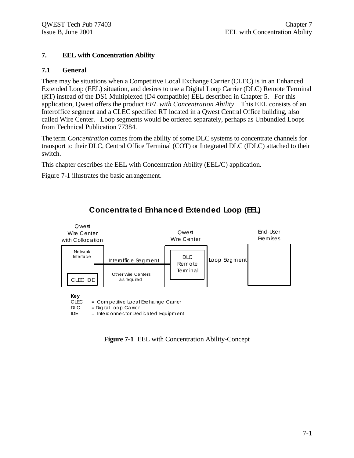### **7. EEL with Concentration Ability**

#### **7.1 General**

There may be situations when a Competitive Local Exchange Carrier (CLEC) is in an Enhanced Extended Loop (EEL) situation, and desires to use a Digital Loop Carrier (DLC) Remote Terminal (RT) instead of the DS1 Multiplexed (D4 compatible) EEL described in Chapter 5. For this application, Qwest offers the product *EEL with Concentration Ability*. This EEL consists of an Interoffice segment and a CLEC specified RT located in a Qwest Central Office building, also called Wire Center. Loop segments would be ordered separately, perhaps as Unbundled Loops from Technical Publication 77384.

The term *Concentration* comes from the ability of some DLC systems to concentrate channels for transport to their DLC, Central Office Terminal (COT) or Integrated DLC (IDLC) attached to their switch.

This chapter describes the EEL with Concentration Ability (EEL/C) application.

Figure 7-1 illustrates the basic arrangement.



# **Concentrated Enhanced Extended Loop (EEL)**

**Figure 7-1** EEL with Concentration Ability-Concept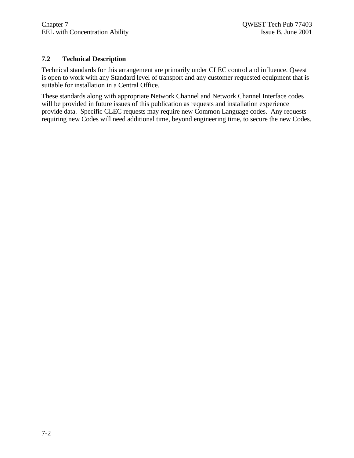#### **7.2 Technical Description**

Technical standards for this arrangement are primarily under CLEC control and influence. Qwest is open to work with any Standard level of transport and any customer requested equipment that is suitable for installation in a Central Office.

These standards along with appropriate Network Channel and Network Channel Interface codes will be provided in future issues of this publication as requests and installation experience provide data. Specific CLEC requests may require new Common Language codes. Any requests requiring new Codes will need additional time, beyond engineering time, to secure the new Codes.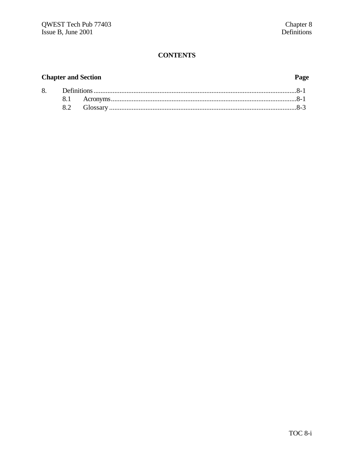# **CONTENTS**

# **Chapter and Section**

# Page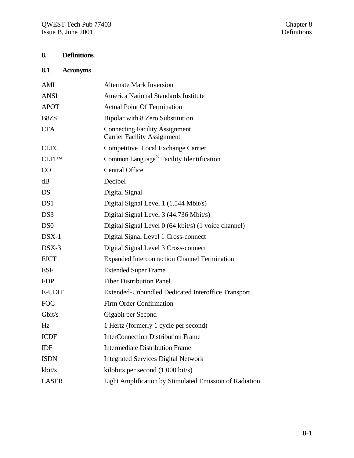# **8. Definitions**

# **8.1 Acronyms**

| AMI              | <b>Alternate Mark Inversion</b>                                             |
|------------------|-----------------------------------------------------------------------------|
| <b>ANSI</b>      | America National Standards Institute                                        |
| <b>APOT</b>      | <b>Actual Point Of Termination</b>                                          |
| B8ZS             | Bipolar with 8 Zero Substitution                                            |
| <b>CFA</b>       | <b>Connecting Facility Assignment</b><br><b>Carrier Facility Assignment</b> |
| <b>CLEC</b>      | Competitive Local Exchange Carrier                                          |
| <b>CLFITM</b>    | Common Language <sup>®</sup> Facility Identification                        |
| CO               | <b>Central Office</b>                                                       |
| dB               | Decibel                                                                     |
| <b>DS</b>        | Digital Signal                                                              |
| DS1              | Digital Signal Level 1 (1.544 Mbit/s)                                       |
| DS3              | Digital Signal Level 3 (44.736 Mbit/s)                                      |
| D <sub>S</sub> 0 | Digital Signal Level 0 (64 kbit/s) (1 voice channel)                        |
| $DSX-1$          | Digital Signal Level 1 Cross-connect                                        |
| $DSX-3$          | Digital Signal Level 3 Cross-connect                                        |
| <b>EICT</b>      | <b>Expanded Interconnection Channel Termination</b>                         |
| <b>ESF</b>       | <b>Extended Super Frame</b>                                                 |
| <b>FDP</b>       | <b>Fiber Distribution Panel</b>                                             |
| <b>E-UDIT</b>    | Extended-Unbundled Dedicated Interoffice Transport                          |
| <b>FOC</b>       | <b>Firm Order Confirmation</b>                                              |
| Gbit/s           | Gigabit per Second                                                          |
| Hz               | 1 Hertz (formerly 1 cycle per second)                                       |
| <b>ICDF</b>      | <b>InterConnection Distribution Frame</b>                                   |
| <b>IDF</b>       | <b>Intermediate Distribution Frame</b>                                      |
| <b>ISDN</b>      | <b>Integrated Services Digital Network</b>                                  |
| kbit/s           | kilobits per second $(1,000 \text{ bit/s})$                                 |
| <b>LASER</b>     | Light Amplification by Stimulated Emission of Radiation                     |
|                  |                                                                             |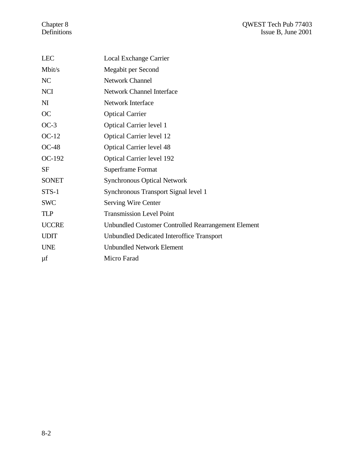#### Chapter 8 QWEST Tech Pub 77403 Definitions Issue B, June 2001

| <b>LEC</b>     | Local Exchange Carrier                              |
|----------------|-----------------------------------------------------|
| Mbit/s         | Megabit per Second                                  |
| N <sub>C</sub> | <b>Network Channel</b>                              |
| <b>NCI</b>     | <b>Network Channel Interface</b>                    |
| N <sub>I</sub> | <b>Network Interface</b>                            |
| OC             | <b>Optical Carrier</b>                              |
| $OC-3$         | <b>Optical Carrier level 1</b>                      |
| $OC-12$        | <b>Optical Carrier level 12</b>                     |
| $OC-48$        | <b>Optical Carrier level 48</b>                     |
| OC-192         | <b>Optical Carrier level 192</b>                    |
| <b>SF</b>      | Superframe Format                                   |
| <b>SONET</b>   | <b>Synchronous Optical Network</b>                  |
| $STS-1$        | Synchronous Transport Signal level 1                |
| <b>SWC</b>     | <b>Serving Wire Center</b>                          |
| <b>TLP</b>     | <b>Transmission Level Point</b>                     |
| <b>UCCRE</b>   | Unbundled Customer Controlled Rearrangement Element |
| <b>UDIT</b>    | <b>Unbundled Dedicated Interoffice Transport</b>    |
| <b>UNE</b>     | <b>Unbundled Network Element</b>                    |
| μf             | Micro Farad                                         |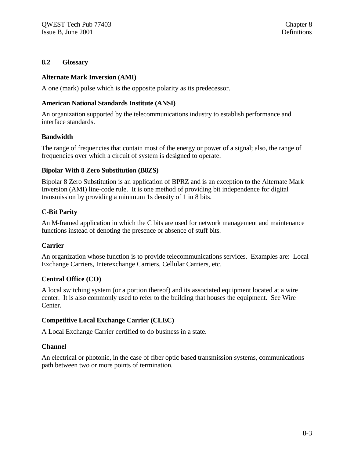#### **8.2 Glossary**

#### **Alternate Mark Inversion (AMI)**

A one (mark) pulse which is the opposite polarity as its predecessor.

#### **American National Standards Institute (ANSI)**

An organization supported by the telecommunications industry to establish performance and interface standards.

#### **Bandwidth**

The range of frequencies that contain most of the energy or power of a signal; also, the range of frequencies over which a circuit of system is designed to operate.

#### **Bipolar With 8 Zero Substitution (B8ZS)**

Bipolar 8 Zero Substitution is an application of BPRZ and is an exception to the Alternate Mark Inversion (AMI) line-code rule. It is one method of providing bit independence for digital transmission by providing a minimum 1s density of 1 in 8 bits.

#### **C-Bit Parity**

An M-framed application in which the C bits are used for network management and maintenance functions instead of denoting the presence or absence of stuff bits.

#### **Carrier**

An organization whose function is to provide telecommunications services. Examples are: Local Exchange Carriers, Interexchange Carriers, Cellular Carriers, etc.

#### **Central Office (CO)**

A local switching system (or a portion thereof) and its associated equipment located at a wire center. It is also commonly used to refer to the building that houses the equipment. See Wire Center.

#### **Competitive Local Exchange Carrier (CLEC)**

A Local Exchange Carrier certified to do business in a state.

#### **Channel**

An electrical or photonic, in the case of fiber optic based transmission systems, communications path between two or more points of termination.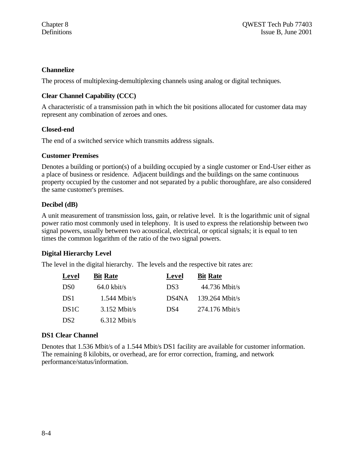#### **Channelize**

The process of multiplexing-demultiplexing channels using analog or digital techniques.

### **Clear Channel Capability (CCC)**

A characteristic of a transmission path in which the bit positions allocated for customer data may represent any combination of zeroes and ones.

#### **Closed-end**

The end of a switched service which transmits address signals.

#### **Customer Premises**

Denotes a building or portion(s) of a building occupied by a single customer or End-User either as a place of business or residence. Adjacent buildings and the buildings on the same continuous property occupied by the customer and not separated by a public thoroughfare, are also considered the same customer's premises.

#### **Decibel (dB)**

A unit measurement of transmission loss, gain, or relative level. It is the logarithmic unit of signal power ratio most commonly used in telephony. It is used to express the relationship between two signal powers, usually between two acoustical, electrical, or optical signals; it is equal to ten times the common logarithm of the ratio of the two signal powers.

#### **Digital Hierarchy Level**

The level in the digital hierarchy. The levels and the respective bit rates are:

| Level            | <b>Bit Rate</b> | Level | <b>Bit Rate</b>  |
|------------------|-----------------|-------|------------------|
| D <sub>S0</sub>  | $64.0$ kbit/s   | DS3   | 44.736 Mbit/s    |
| DS <sub>1</sub>  | $1.544$ Mbit/s  | DS4NA | $139.264$ Mbit/s |
| DS <sub>1C</sub> | $3.152$ Mbit/s  | DS4   | $274.176$ Mbit/s |
| DS <sub>2</sub>  | $6.312$ Mbit/s  |       |                  |

#### **DS1 Clear Channel**

Denotes that 1.536 Mbit/s of a 1.544 Mbit/s DS1 facility are available for customer information. The remaining 8 kilobits, or overhead, are for error correction, framing, and network performance/status/information.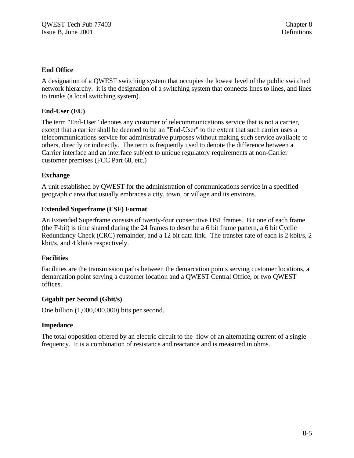#### **End Office**

A designation of a QWEST switching system that occupies the lowest level of the public switched network hierarchy. it is the designation of a switching system that connects lines to lines, and lines to trunks (a local switching system).

#### **End-User (EU)**

The term "End-User" denotes any customer of telecommunications service that is not a carrier, except that a carrier shall be deemed to be an "End-User" to the extent that such carrier uses a telecommunications service for administrative purposes without making such service available to others, directly or indirectly. The term is frequently used to denote the difference between a Carrier interface and an interface subject to unique regulatory requirements at non-Carrier customer premises (FCC Part 68, etc.)

#### **Exchange**

A unit established by QWEST for the administration of communications service in a specified geographic area that usually embraces a city, town, or village and its environs.

#### **Extended Superframe (ESF) Format**

An Extended Superframe consists of twenty-four consecutive DS1 frames. Bit one of each frame (the F-bit) is time shared during the 24 frames to describe a 6 bit frame pattern, a 6 bit Cyclic Redundancy Check (CRC) remainder, and a 12 bit data link. The transfer rate of each is 2 kbit/s, 2 kbit/s, and 4 kbit/s respectively.

#### **Facilities**

Facilities are the transmission paths between the demarcation points serving customer locations, a demarcation point serving a customer location and a QWEST Central Office, or two QWEST offices.

#### **Gigabit per Second (Gbit/s)**

One billion (1,000,000,000) bits per second.

#### **Impedance**

The total opposition offered by an electric circuit to the flow of an alternating current of a single frequency. It is a combination of resistance and reactance and is measured in ohms.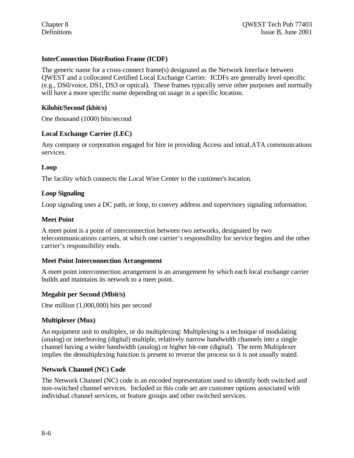#### **InterConnection Distribution Frame (ICDF)**

The generic name for a cross-connect frame(s) designated as the Network Interface between QWEST and a collocated Certified Local Exchange Carrier. ICDFs are generally level-specific (e.g., DS0/voice, DS1, DS3 or optical). These frames typically serve other purposes and normally will have a more specific name depending on usage in a specific location.

#### **Kilobit/Second (kbit/s)**

One thousand (1000) bits/second

#### **Local Exchange Carrier (LEC)**

Any company or corporation engaged for hire in providing Access and intraLATA communications services.

#### **Loop**

The facility which connects the Local Wire Center to the customer's location.

#### **Loop Signaling**

Loop signaling uses a DC path, or loop, to convey address and supervisory signaling information.

#### **Meet Point**

A meet point is a point of interconnection between two networks, designated by two telecommunications carriers, at which one carrier's responsibility for service begins and the other carrier's responsibility ends.

#### **Meet Point Interconnection Arrangement**

A meet point interconnection arrangement is an arrangement by which each local exchange carrier builds and maintains its network to a meet point.

#### **Megabit per Second (Mbit/s)**

One million (1,000,000) bits per second

#### **Multiplexer (Mux)**

An equipment unit to multiplex, or do multiplexing: Multiplexing is a technique of modulating (analog) or interleaving (digital) multiple, relatively narrow bandwidth channels into a single channel having a wider bandwidth (analog) or higher bit-rate (digital). The term Multiplexer implies the demultiplexing function is present to reverse the process so it is not usually stated.

#### **Network Channel (NC) Code**

The Network Channel (NC) code is an encoded representation used to identify both switched and non-switched channel services. Included in this code set are customer options associated with individual channel services, or feature groups and other switched services.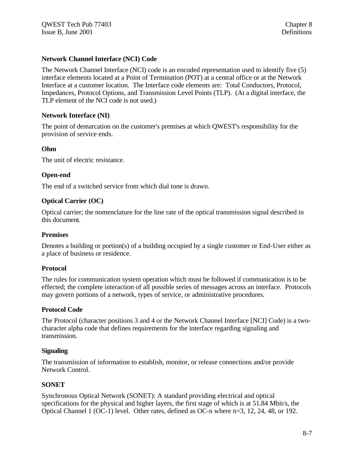#### **Network Channel Interface (NCI) Code**

The Network Channel Interface (NCI) code is an encoded representation used to identify five (5) interface elements located at a Point of Termination (POT) at a central office or at the Network Interface at a customer location. The Interface code elements are: Total Conductors, Protocol, Impedances, Protocol Options, and Transmission Level Points (TLP). (At a digital interface, the TLP element of the NCI code is not used.)

#### **Network Interface (NI)**

The point of demarcation on the customer's premises at which QWEST's responsibility for the provision of service ends.

#### **Ohm**

The unit of electric resistance.

#### **Open-end**

The end of a switched service from which dial tone is drawn.

#### **Optical Carrier (OC)**

Optical carrier; the nomenclature for the line rate of the optical transmission signal described in this document.

#### **Premises**

Denotes a building or portion(s) of a building occupied by a single customer or End-User either as a place of business or residence.

#### **Protocol**

The rules for communication system operation which must be followed if communication is to be effected; the complete interaction of all possible series of messages across an interface. Protocols may govern portions of a network, types of service, or administrative procedures.

#### **Protocol Code**

The Protocol (character positions 3 and 4 or the Network Channel Interface [NCI] Code) is a twocharacter alpha code that defines requirements for the interface regarding signaling and transmission.

#### **Signaling**

The transmission of information to establish, monitor, or release connections and/or provide Network Control.

#### **SONET**

Synchronous Optical Network (SONET): A standard providing electrical and optical specifications for the physical and higher layers, the first stage of which is at 51.84 Mbit/s, the Optical Channel 1 (OC-1) level. Other rates, defined as OC-n where n=3, 12, 24, 48, or 192.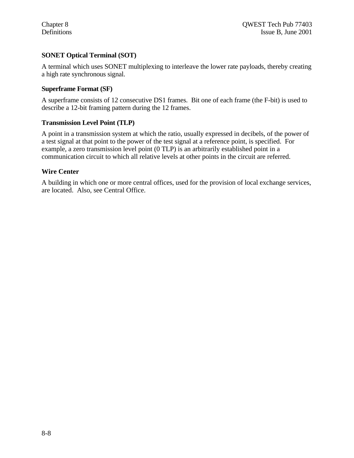#### **SONET Optical Terminal (SOT)**

A terminal which uses SONET multiplexing to interleave the lower rate payloads, thereby creating a high rate synchronous signal.

#### **Superframe Format (SF)**

A superframe consists of 12 consecutive DS1 frames. Bit one of each frame (the F-bit) is used to describe a 12-bit framing pattern during the 12 frames.

#### **Transmission Level Point (TLP)**

A point in a transmission system at which the ratio, usually expressed in decibels, of the power of a test signal at that point to the power of the test signal at a reference point, is specified. For example, a zero transmission level point (0 TLP) is an arbitrarily established point in a communication circuit to which all relative levels at other points in the circuit are referred.

#### **Wire Center**

A building in which one or more central offices, used for the provision of local exchange services, are located. Also, see Central Office.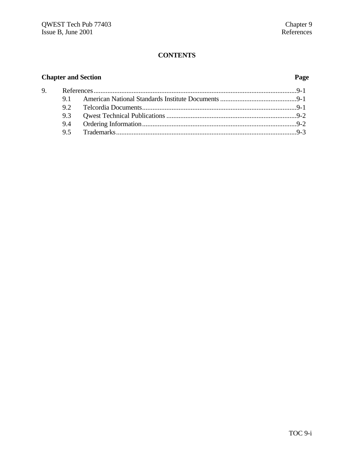# **CONTENTS**

# **Chapter and Section Page**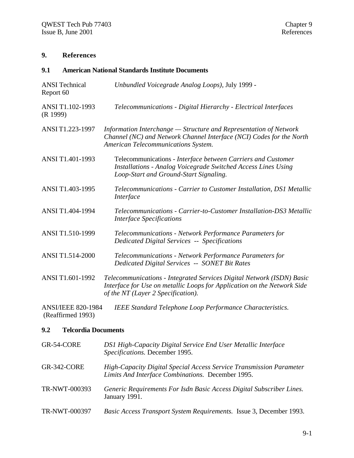# **9. References**

#### **9.1 American National Standards Institute Documents**

| <b>ANSI</b> Technical<br>Report 60 | Unbundled Voicegrade Analog Loops), July 1999 -                                                                                                                                        |
|------------------------------------|----------------------------------------------------------------------------------------------------------------------------------------------------------------------------------------|
| ANSI T1.102-1993<br>(R 1999)       | Telecommunications - Digital Hierarchy - Electrical Interfaces                                                                                                                         |
| ANSI T1.223-1997                   | Information Interchange - Structure and Representation of Network<br>Channel (NC) and Network Channel Interface (NCI) Codes for the North<br>American Telecommunications System.       |
| ANSI T1.401-1993                   | Telecommunications - Interface between Carriers and Customer<br><b>Installations - Analog Voicegrade Switched Access Lines Using</b><br>Loop-Start and Ground-Start Signaling.         |
| ANSI T1.403-1995                   | Telecommunications - Carrier to Customer Installation, DS1 Metallic<br>Interface                                                                                                       |
| ANSI T1.404-1994                   | Telecommunications - Carrier-to-Customer Installation-DS3 Metallic<br><b>Interface Specifications</b>                                                                                  |
| ANSI T1.510-1999                   | Telecommunications - Network Performance Parameters for<br><b>Dedicated Digital Services -- Specifications</b>                                                                         |
| <b>ANSI T1.514-2000</b>            | Telecommunications - Network Performance Parameters for<br>Dedicated Digital Services -- SONET Bit Rates                                                                               |
| ANSI T1.601-1992                   | Telecommunications - Integrated Services Digital Network (ISDN) Basic<br>Interface for Use on metallic Loops for Application on the Network Side<br>of the NT (Layer 2 Specification). |
| <b>ANSI/IEEE 820-1984</b>          | <b>IEEE Standard Telephone Loop Performance Characteristics.</b>                                                                                                                       |

(Reaffirmed 1993)

## **9.2 Telcordia Documents**

| GR-54-CORE         | DS1 High-Capacity Digital Service End User Metallic Interface<br>Specifications. December 1995.                          |
|--------------------|--------------------------------------------------------------------------------------------------------------------------|
| <b>GR-342-CORE</b> | High-Capacity Digital Special Access Service Transmission Parameter<br>Limits And Interface Combinations. December 1995. |
| TR-NWT-000393      | Generic Requirements For Isdn Basic Access Digital Subscriber Lines.<br>January 1991.                                    |
| TR-NWT-000397      | Basic Access Transport System Requirements. Issue 3, December 1993.                                                      |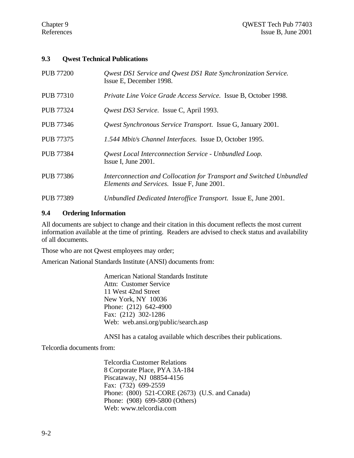#### **9.3 Qwest Technical Publications**

| <b>PUB 77200</b> | Qwest DS1 Service and Qwest DS1 Rate Synchronization Service.<br>Issue E, December 1998.                                  |
|------------------|---------------------------------------------------------------------------------------------------------------------------|
| <b>PUB 77310</b> | Private Line Voice Grade Access Service. Issue B, October 1998.                                                           |
| <b>PUB 77324</b> | Qwest DS3 Service. Issue C, April 1993.                                                                                   |
| <b>PUB 77346</b> | <i>Qwest Synchronous Service Transport.</i> Issue G, January 2001.                                                        |
| <b>PUB 77375</b> | 1.544 Mbit/s Channel Interfaces. Issue D, October 1995.                                                                   |
| <b>PUB 77384</b> | <b>Qwest Local Interconnection Service - Unbundled Loop.</b><br>Issue I, June 2001.                                       |
| <b>PUB 77386</b> | Interconnection and Collocation for Transport and Switched Unbundled<br><i>Elements and Services.</i> Issue F, June 2001. |
| <b>PUB 77389</b> | Unbundled Dedicated Interoffice Transport. Issue E, June 2001.                                                            |

#### **9.4 Ordering Information**

All documents are subject to change and their citation in this document reflects the most current information available at the time of printing. Readers are advised to check status and availability of all documents.

Those who are not Qwest employees may order;

American National Standards Institute (ANSI) documents from:

American National Standards Institute Attn: Customer Service 11 West 42nd Street New York, NY 10036 Phone: (212) 642-4900 Fax: (212) 302-1286 Web: web.ansi.org/public/search.asp

ANSI has a catalog available which describes their publications.

Telcordia documents from:

Telcordia Customer Relations 8 Corporate Place, PYA 3A-184 Piscataway, NJ 08854-4156 Fax: (732) 699-2559 Phone: (800) 521-CORE (2673) (U.S. and Canada) Phone: (908) 699-5800 (Others) Web: www.telcordia.com